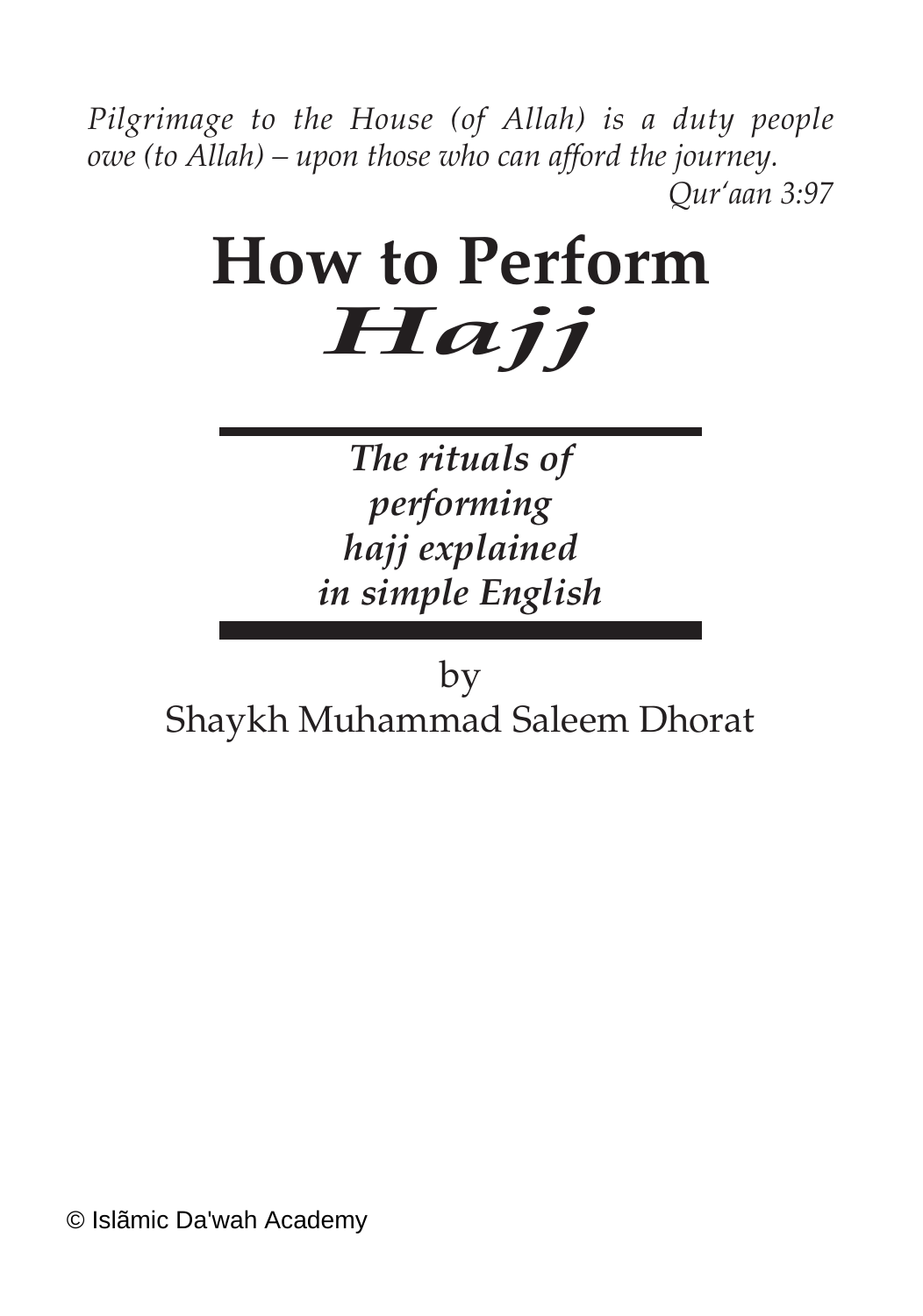*Pilgrimage to the House (of Allah) is a duty people owe (to Allah) – upon those who can afford the journey. Qur'aan 3:97*

# **How to Perform** *Hajj*

*The rituals of performing hajj explained in simple English*

by Shaykh Muhammad Saleem Dhorat

© Islãmic Da'wah Academy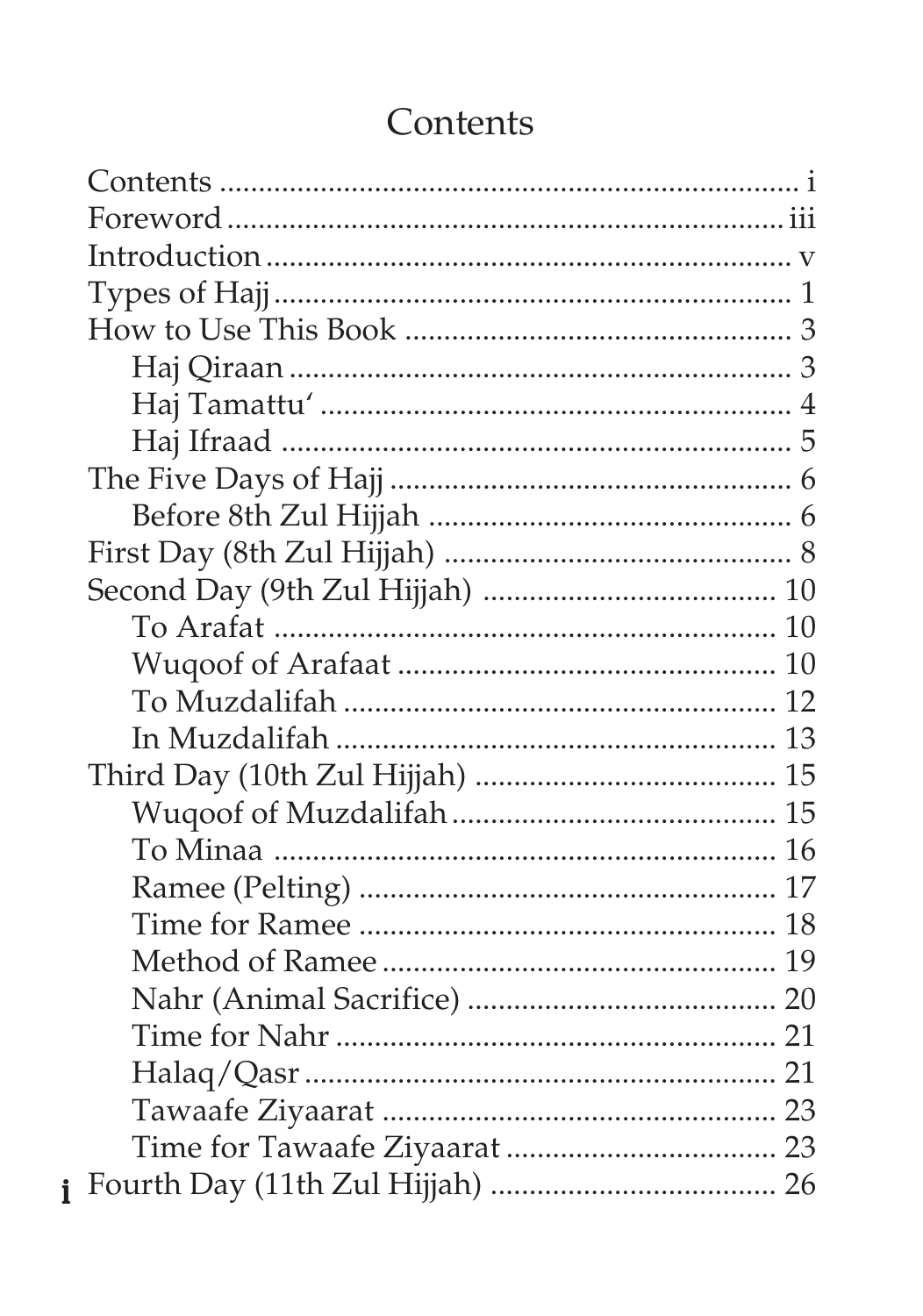# Contents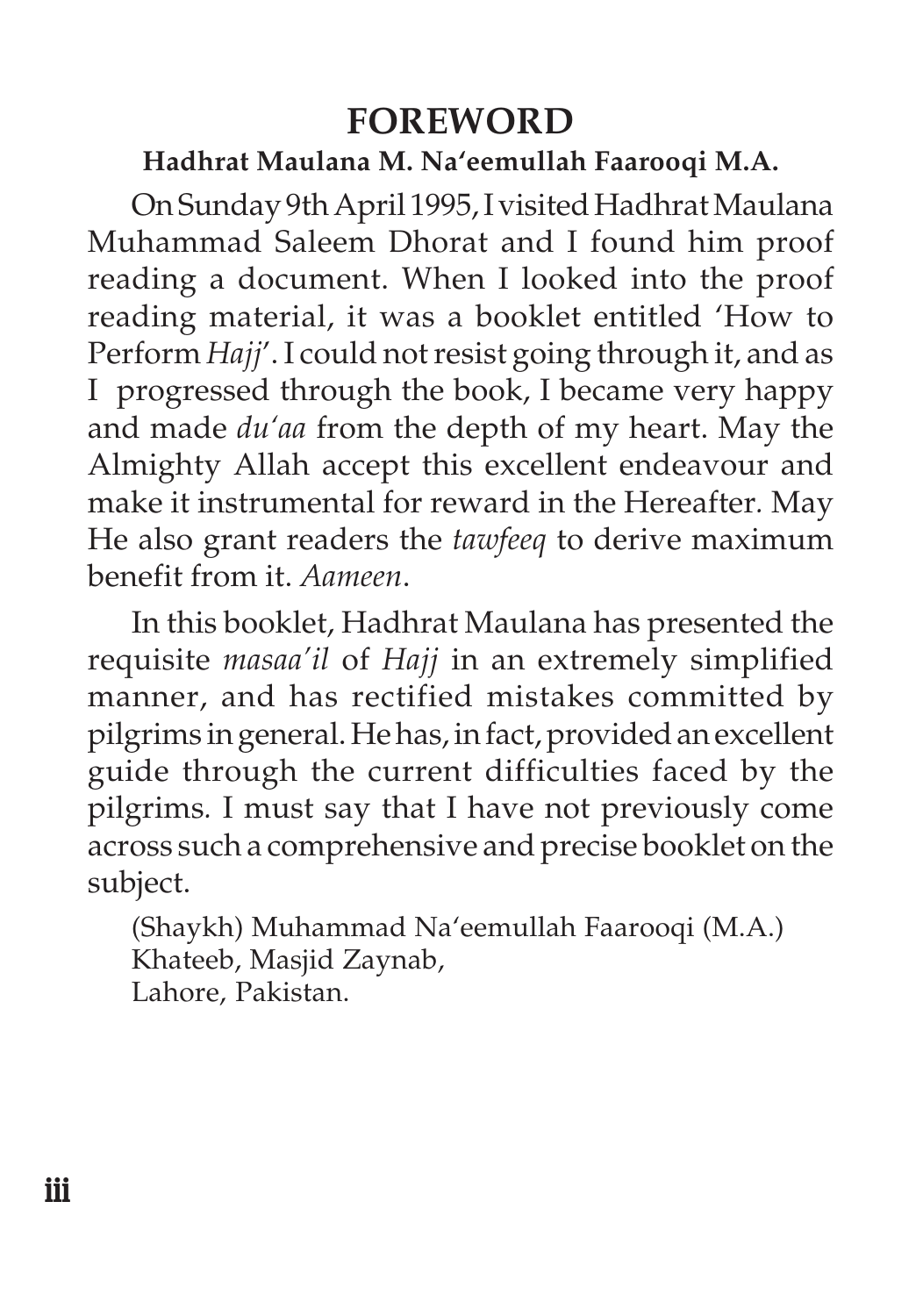# **FOREWORD**

#### **Hadhrat Maulana M. Na'eemullah Faarooqi M.A.**

On Sunday 9th April 1995, I visited Hadhrat Maulana Muhammad Saleem Dhorat and I found him proof reading a document. When I looked into the proof reading material, it was a booklet entitled 'How to Perform *Hajj*'. I could not resist going through it, and as I progressed through the book, I became very happy and made *du'aa* from the depth of my heart. May the Almighty Allah accept this excellent endeavour and make it instrumental for reward in the Hereafter*.* May He also grant readers the *tawfeeq* to derive maximum benefit from it. *Aameen*.

In this booklet, Hadhrat Maulana has presented the requisite *masaa'il* of *Hajj* in an extremely simplified manner, and has rectified mistakes committed by pilgrims in general. He has, in fact, provided an excellent guide through the current difficulties faced by the pilgrims*.* I must say that I have not previously come across such a comprehensive and precise booklet on the subject.

(Shaykh) Muhammad Na'eemullah Faarooqi (M.A.) Khateeb, Masjid Zaynab, Lahore, Pakistan.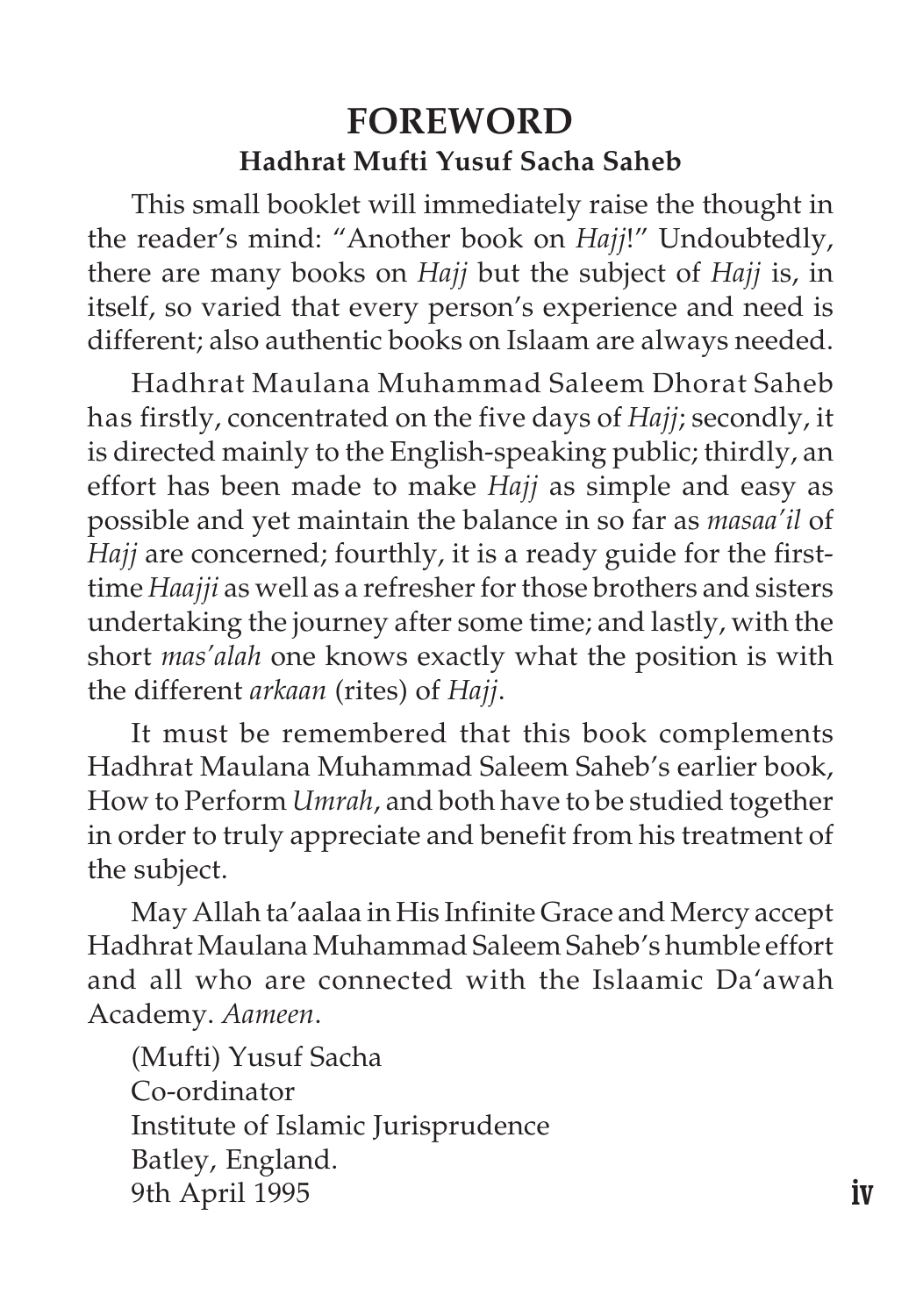## **FOREWORD Hadhrat Mufti Yusuf Sacha Saheb**

This small booklet will immediately raise the thought in the reader's mind: "Another book on *Hajj*!" Undoubtedly, there are many books on *Hajj* but the subject of *Hajj* is, in itself, so varied that every person's experience and need is different; also authentic books on Islaam are always needed.

Hadhrat Maulana Muhammad Saleem Dhorat Saheb has firstly, concentrated on the five days of *Hajj*; secondly, it is directed mainly to the English-speaking public; thirdly, an effort has been made to make *Hajj* as simple and easy as possible and yet maintain the balance in so far as *masaa'il* of *Hajj* are concerned; fourthly, it is a ready guide for the firsttime *Haajji* as well as a refresher for those brothers and sisters undertaking the journey after some time; and lastly, with the short *mas'alah* one knows exactly what the position is with the different *arkaan* (rites) of *Hajj*.

It must be remembered that this book complements Hadhrat Maulana Muhammad Saleem Saheb's earlier book, How to Perform *Umrah*, and both have to be studied together in order to truly appreciate and benefit from his treatment of the subject.

May Allah ta'aalaa in His Infinite Grace and Mercy accept Hadhrat Maulana Muhammad Saleem Saheb's humble effort and all who are connected with the Islaamic Da'awah Academy. *Aameen*.

(Mufti) Yusuf Sacha Co-ordinator Institute of Islamic Jurisprudence Batley, England. 9th April 1995 **iv**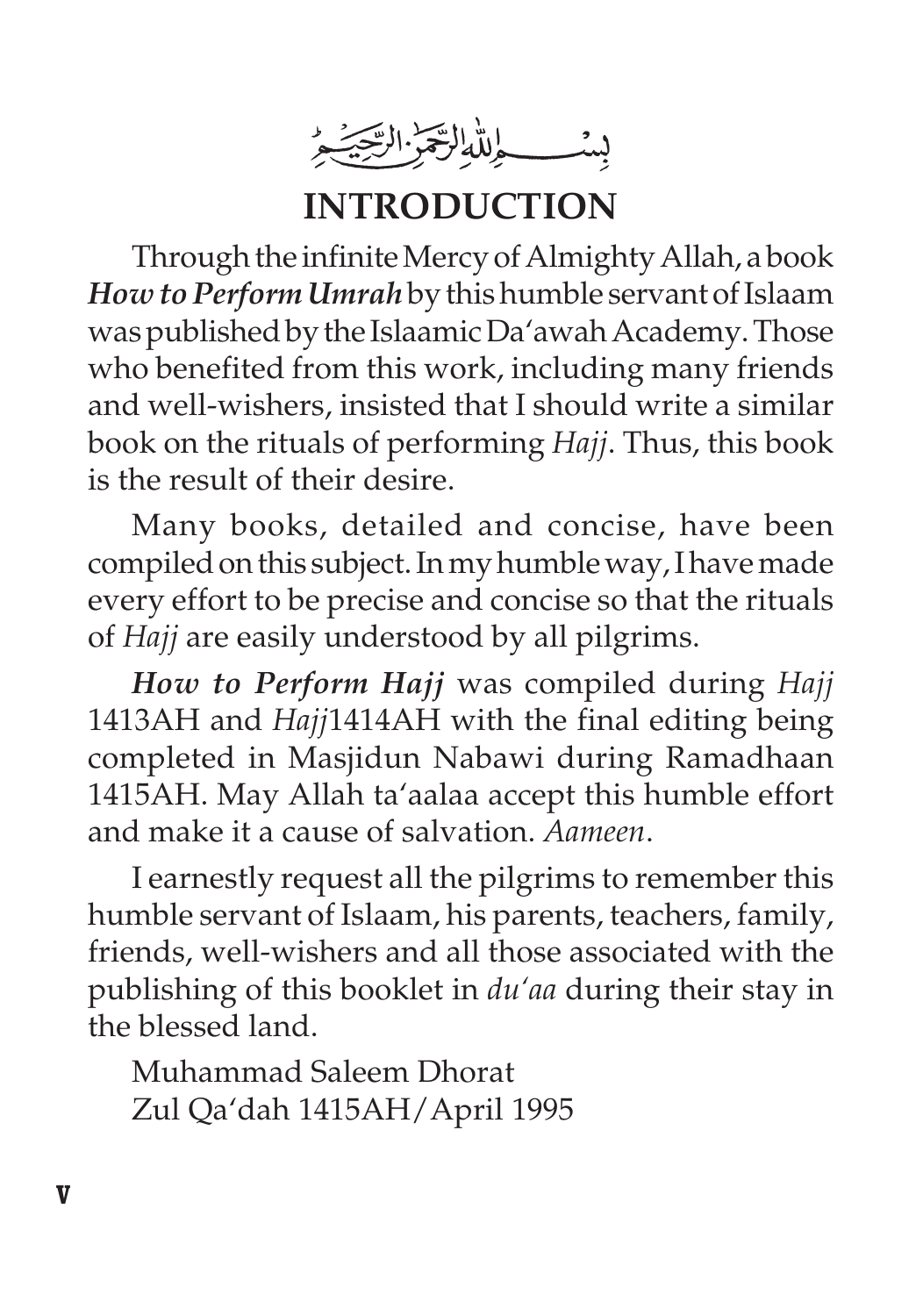بشــطِللْهِ الرَّجَزُ الرَّجَيْهِ

**INTRODUCTION**

Through the infinite Mercy of Almighty Allah, a book *How to Perform Umrah* by this humble servant of Islaam was published by the Islaamic Da'awah Academy. Those who benefited from this work, including many friends and well-wishers, insisted that I should write a similar book on the rituals of performing *Hajj*. Thus, this book is the result of their desire.

Many books, detailed and concise, have been compiled on this subject. In my humble way, I have made every effort to be precise and concise so that the rituals of *Hajj* are easily understood by all pilgrims.

*How to Perform Hajj* was compiled during *Hajj* 1413AH and *Hajj*1414AH with the final editing being completed in Masjidun Nabawi during Ramadhaan 1415AH. May Allah ta'aalaa accept this humble effort and make it a cause of salvation. *Aameen*.

I earnestly request all the pilgrims to remember this humble servant of Islaam, his parents, teachers, family, friends, well-wishers and all those associated with the publishing of this booklet in *du'aa* during their stay in the blessed land.

Muhammad Saleem Dhorat Zul Qa'dah 1415AH/April 1995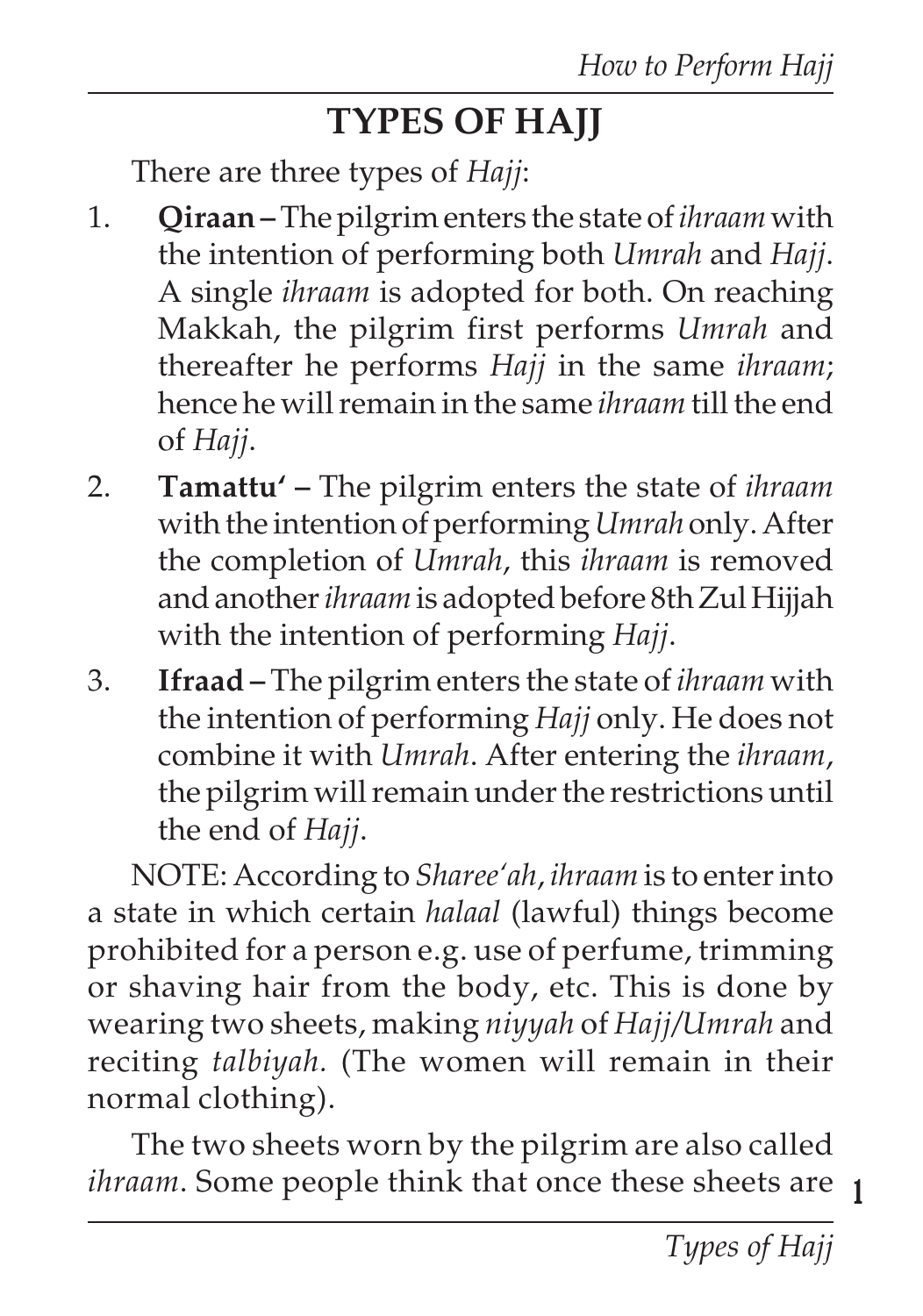# **TYPES OF HAJJ**

There are three types of *Hajj*:

- 1. **Qiraan** The pilgrim enters the state of *ihraam* with the intention of performing both *Umrah* and *Hajj*. A single *ihraam* is adopted for both. On reaching Makkah, the pilgrim first performs *Umrah* and thereafter he performs *Hajj* in the same *ihraam*; hence he will remain in the same *ihraam* till the end of *Hajj*.
- 2. **Tamattu' –** The pilgrim enters the state of *ihraam* with the intention of performing *Umrah* only. After the completion of *Umrah*, this *ihraam* is removed and another *ihraam* is adopted before 8th Zul Hijjah with the intention of performing *Hajj*.
- 3. **Ifraad** The pilgrim enters the state of *ihraam* with the intention of performing *Hajj* only. He does not combine it with *Umrah*. After entering the *ihraam*, the pilgrim will remain under the restrictions until the end of *Hajj*.

NOTE: According to *Sharee'ah*, *ihraam* is to enter into a state in which certain *halaal* (lawful) things become prohibited for a person e.g. use of perfume, trimming or shaving hair from the body, etc. This is done by wearing two sheets, making *niyyah* of *Hajj/Umrah* and reciting *talbiyah.* (The women will remain in their normal clothing).

**1** *ihraam*. Some people think that once these sheets are The two sheets worn by the pilgrim are also called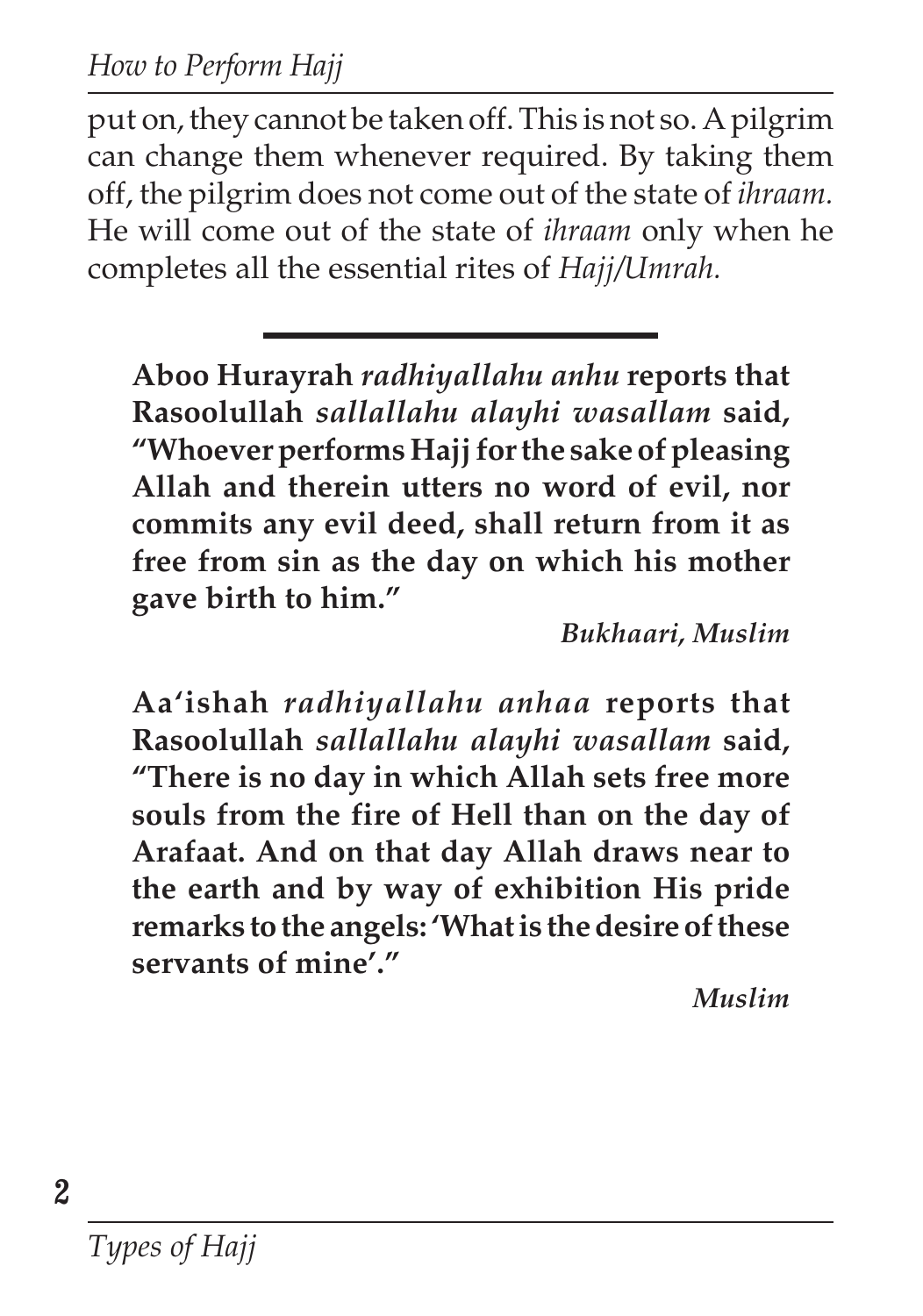put on, they cannot be taken off. This is not so. A pilgrim can change them whenever required. By taking them off, the pilgrim does not come out of the state of *ihraam.* He will come out of the state of *ihraam* only when he completes all the essential rites of *Hajj/Umrah.*

**Aboo Hurayrah** *radhiyallahu anhu* **reports that Rasoolullah** *sallallahu alayhi wasallam* **said, "Whoever performs Hajj for the sake of pleasing Allah and therein utters no word of evil, nor commits any evil deed, shall return from it as free from sin as the day on which his mother gave birth to him."**

*Bukhaari, Muslim*

**Aa'ishah** *radhiyallahu anhaa* **reports that Rasoolullah** *sallallahu alayhi wasallam* **said, "There is no day in which Allah sets free more souls from the fire of Hell than on the day of Arafaat. And on that day Allah draws near to the earth and by way of exhibition His pride remarks to the angels: 'What is the desire of these servants of mine'."**

*Muslim*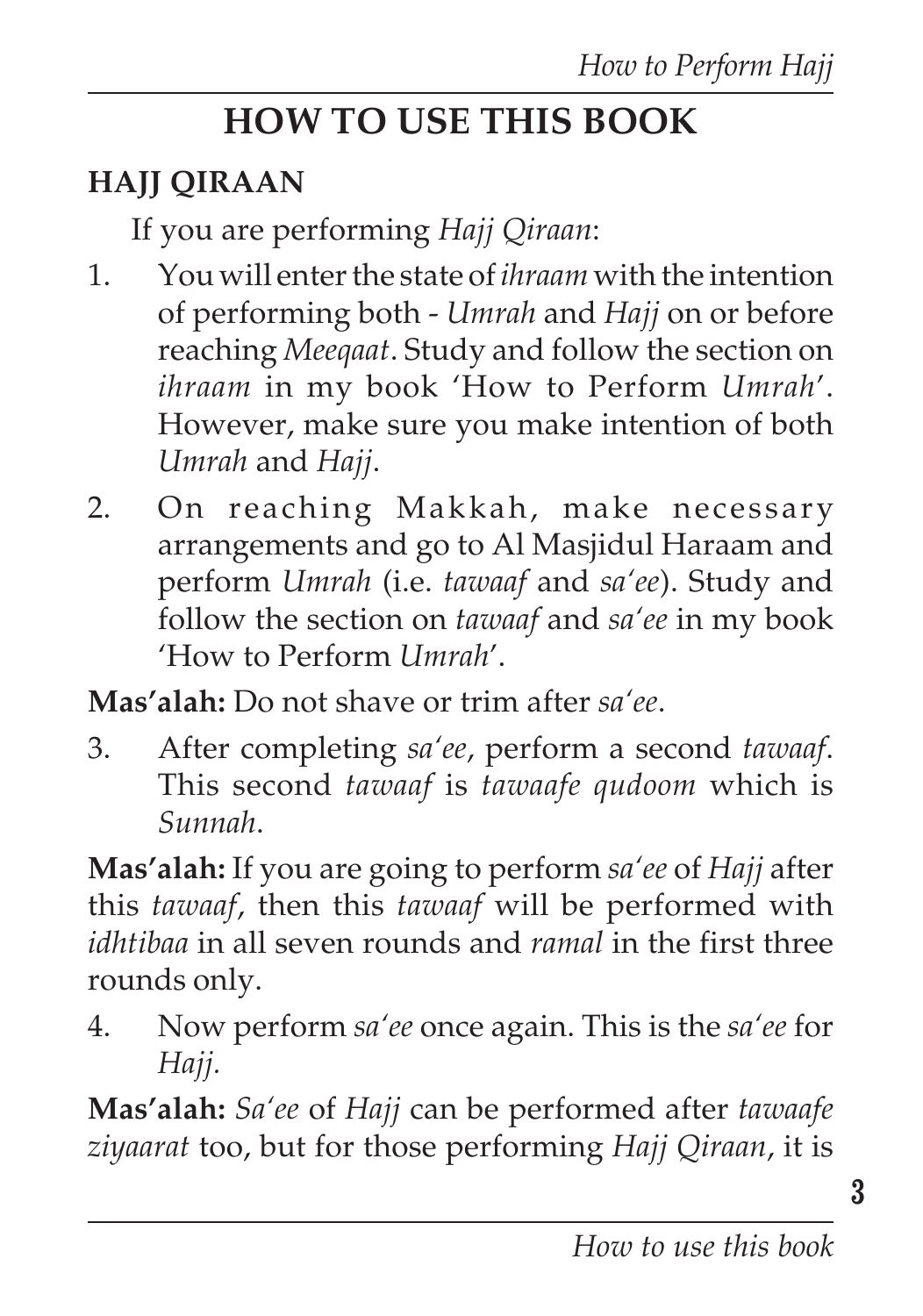# **HOW TO USE THIS BOOK**

## **HAJJ QIRAAN**

If you are performing *Hajj Qiraan*:

- 1. You will enter the state of *ihraam* with the intention of performing both - *Umrah* and *Hajj* on or before reaching *Meeqaat*. Study and follow the section on *ihraam* in my book 'How to Perform *Umrah*'. However, make sure you make intention of both *Umrah* and *Hajj*.
- 2. On reaching Makkah, make necessary arrangements and go to Al Masjidul Haraam and perform *Umrah* (i.e. *tawaaf* and *sa'ee*). Study and follow the section on *tawaaf* and *sa'ee* in my book 'How to Perform *Umrah*'.

**Mas'alah:** Do not shave or trim after *sa'ee*.

3. After completing *sa'ee*, perform a second *tawaaf*. This second *tawaaf* is *tawaafe qudoom* which is *Sunnah*.

**Mas'alah:** If you are going to perform *sa'ee* of *Hajj* after this *tawaaf*, then this *tawaaf* will be performed with *idhtibaa* in all seven rounds and *ramal* in the first three rounds only.

4. Now perform *sa'ee* once again. This is the *sa'ee* for *Hajj.*

**Mas'alah:** *Sa'ee* of *Hajj* can be performed after *tawaafe ziyaarat* too, but for those performing *Hajj Qiraan*, it is

**3**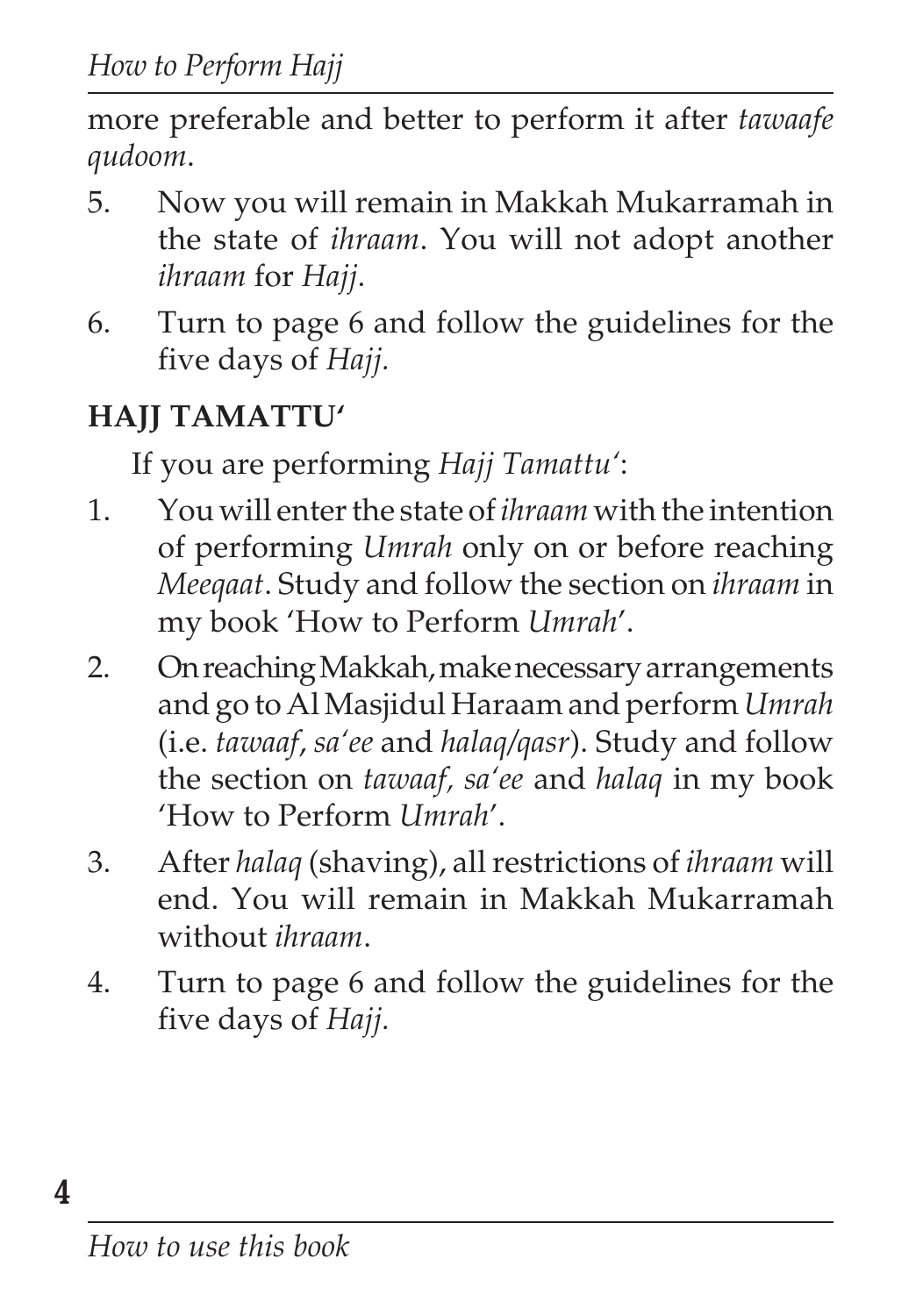more preferable and better to perform it after *tawaafe qudoom*.

- 5. Now you will remain in Makkah Mukarramah in the state of *ihraam*. You will not adopt another *ihraam* for *Hajj*.
- 6. Turn to page 6 and follow the guidelines for the five days of *Hajj.*

# **HAJJ TAMATTU'**

If you are performing *Hajj Tamattu'*:

- 1. You will enter the state of *ihraam* with the intention of performing *Umrah* only on or before reaching *Meeqaat*. Study and follow the section on *ihraam* in my book 'How to Perform *Umrah*'.
- 2. On reaching Makkah, make necessary arrangements and go to Al Masjidul Haraam and perform *Umrah* (i.e. *tawaaf*, *sa'ee* and *halaq/qasr*). Study and follow the section on *tawaaf, sa'ee* and *halaq* in my book 'How to Perform *Umrah*'.
- 3. After *halaq* (shaving), all restrictions of *ihraam* will end. You will remain in Makkah Mukarramah without *ihraam*.
- 4. Turn to page 6 and follow the guidelines for the five days of *Hajj.*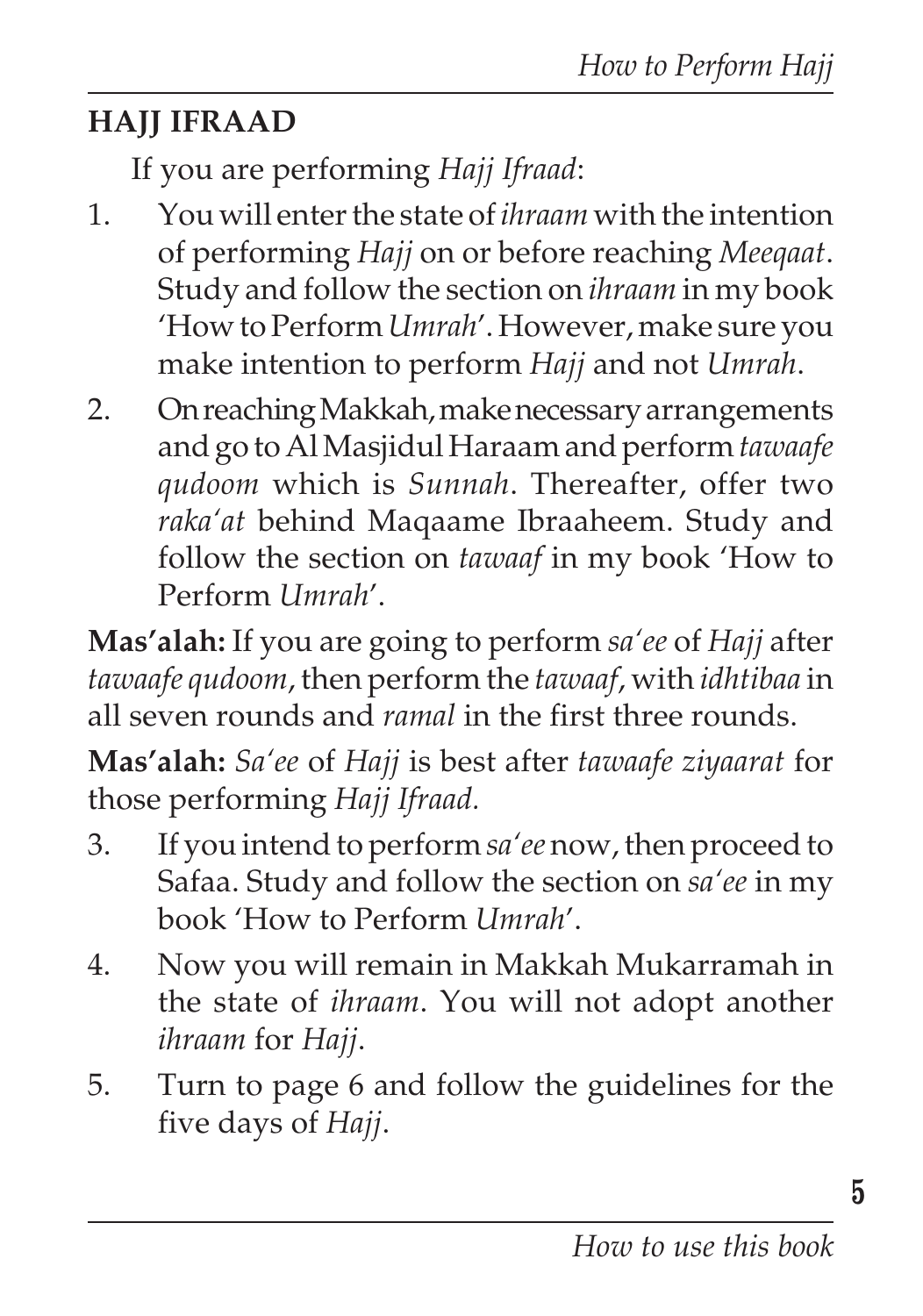## **HAJJ IFRAAD**

If you are performing *Hajj Ifraad*:

- 1. You will enter the state of *ihraam* with the intention of performing *Hajj* on or before reaching *Meeqaat*. Study and follow the section on *ihraam* in my book 'How to Perform *Umrah*'. However, make sure you make intention to perform *Hajj* and not *Umrah*.
- 2. On reaching Makkah, make necessary arrangements and go to Al Masjidul Haraam and perform *tawaafe qudoom* which is *Sunnah*. Thereafter, offer two *raka'at* behind Maqaame Ibraaheem. Study and follow the section on *tawaaf* in my book 'How to Perform *Umrah*'.

**Mas'alah:** If you are going to perform *sa'ee* of *Hajj* after *tawaafe qudoom*, then perform the *tawaaf*, with *idhtibaa* in all seven rounds and *ramal* in the first three rounds.

**Mas'alah:** *Sa'ee* of *Hajj* is best after *tawaafe ziyaarat* for those performing *Hajj Ifraad.*

- 3. If you intend to perform *sa'ee* now, then proceed to Safaa. Study and follow the section on *sa'ee* in my book 'How to Perform *Umrah*'.
- 4. Now you will remain in Makkah Mukarramah in the state of *ihraam*. You will not adopt another *ihraam* for *Hajj*.
- 5. Turn to page 6 and follow the guidelines for the five days of *Hajj*.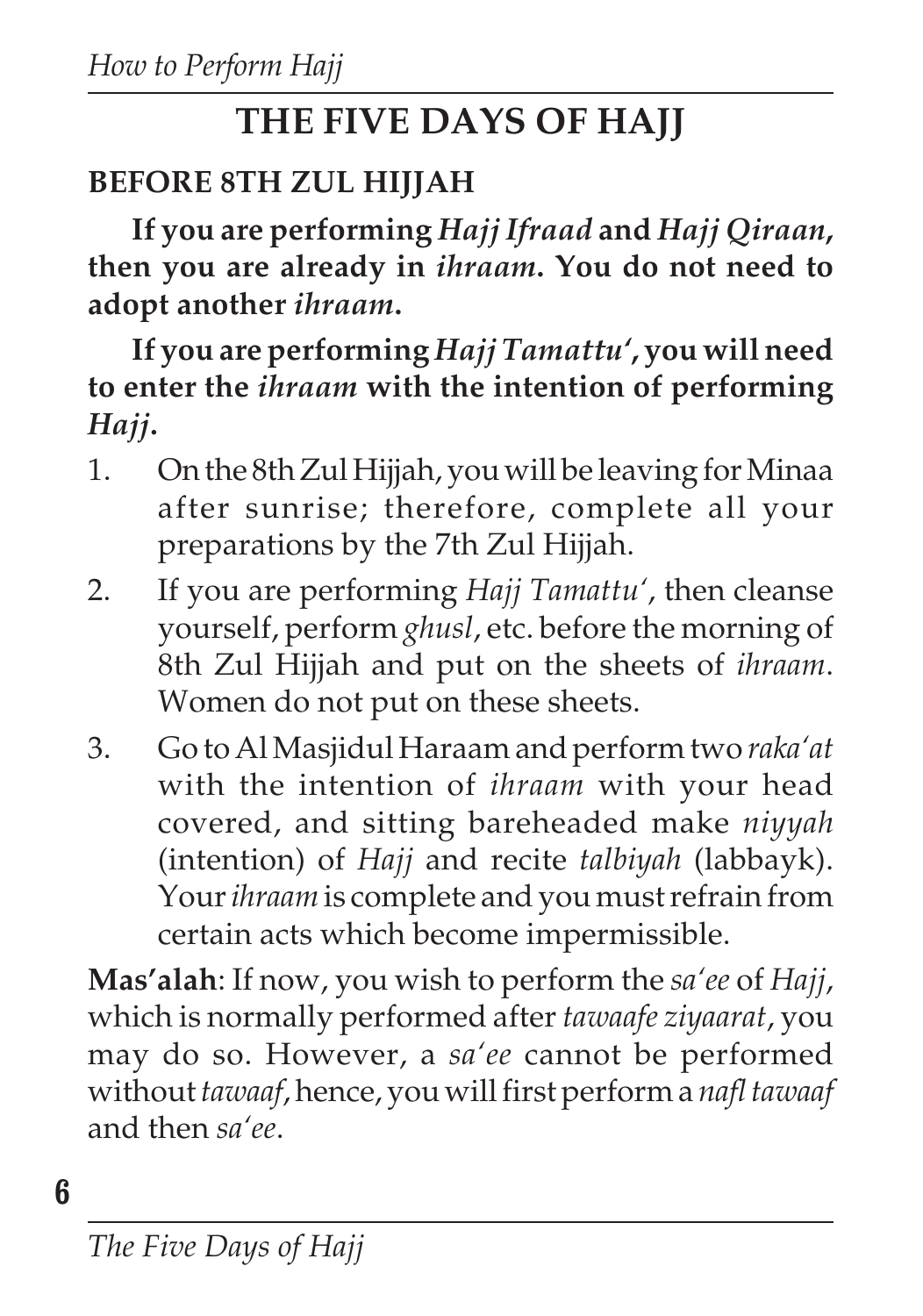# **THE FIVE DAYS OF HAJJ**

## **BEFORE 8TH ZUL HIJJAH**

**If you are performing** *Hajj Ifraad* **and** *Hajj Qiraan***, then you are already in** *ihraam***. You do not need to adopt another** *ihraam***.**

**If you are performing** *Hajj Tamattu'***, you will need to enter the** *ihraam* **with the intention of performing** *Hajj***.**

- 1. On the 8th Zul Hijjah, you will be leaving for Minaa after sunrise; therefore, complete all your preparations by the 7th Zul Hijjah.
- 2. If you are performing *Hajj Tamattu'*, then cleanse yourself, perform *ghusl*, etc. before the morning of 8th Zul Hijjah and put on the sheets of *ihraam*. Women do not put on these sheets.
- 3. Go to Al Masjidul Haraam and perform two *raka'at* with the intention of *ihraam* with your head covered, and sitting bareheaded make *niyyah* (intention) of *Hajj* and recite *talbiyah* (labbayk). Your *ihraam* is complete and you must refrain from certain acts which become impermissible.

**Mas'alah**: If now, you wish to perform the *sa'ee* of *Hajj*, which is normally performed after *tawaafe ziyaarat*, you may do so. However, a *sa'ee* cannot be performed without *tawaaf*, hence, you will first perform a *nafl tawaaf* and then *sa'ee*.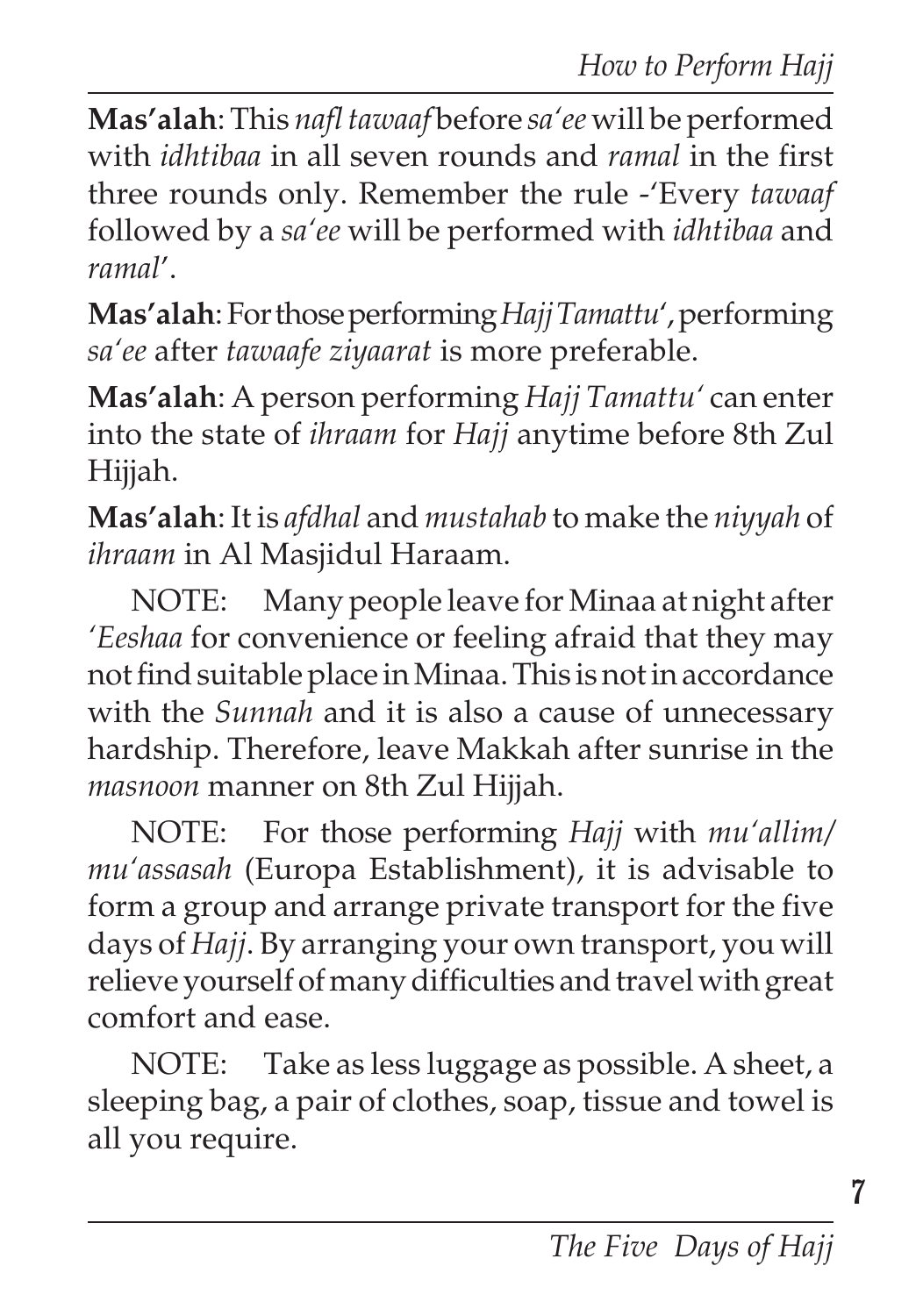**Mas'alah**: This *nafl tawaaf* before *sa'ee* will be performed with *idhtibaa* in all seven rounds and *ramal* in the first three rounds only. Remember the rule -'Every *tawaaf* followed by a *sa'ee* will be performed with *idhtibaa* and *ramal*'.

**Mas'alah**: For those performing *Hajj Tamattu'*, performing *sa'ee* after *tawaafe ziyaarat* is more preferable.

**Mas'alah**: A person performing *Hajj Tamattu'* can enter into the state of *ihraam* for *Hajj* anytime before 8th Zul Hijjah.

**Mas'alah**: It is *afdhal* and *mustahab* to make the *niyyah* of *ihraam* in Al Masjidul Haraam.

NOTE: Many people leave for Minaa at night after *'Eeshaa* for convenience or feeling afraid that they may not find suitable place in Minaa. This is not in accordance with the *Sunnah* and it is also a cause of unnecessary hardship. Therefore, leave Makkah after sunrise in the *masnoon* manner on 8th Zul Hijjah.

NOTE: For those performing *Hajj* with *mu'allim/ mu'assasah* (Europa Establishment), it is advisable to form a group and arrange private transport for the five days of *Hajj*. By arranging your own transport, you will relieve yourself of many difficulties and travel with great comfort and ease.

NOTE: Take as less luggage as possible. A sheet, a sleeping bag, a pair of clothes, soap, tissue and towel is all you require.

**7**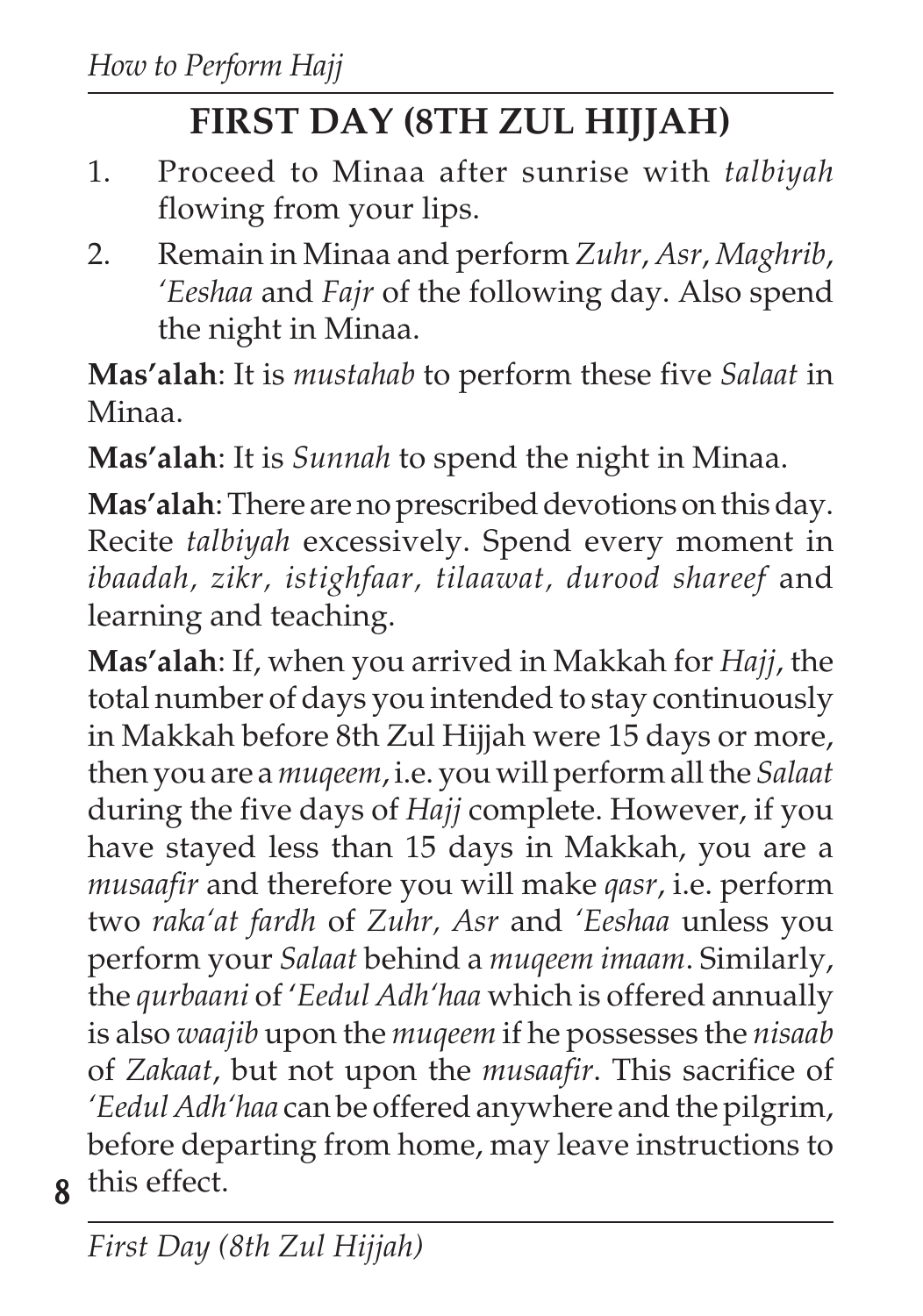# **FIRST DAY (8TH ZUL HIJJAH)**

- 1. Proceed to Minaa after sunrise with *talbiyah* flowing from your lips.
- 2. Remain in Minaa and perform *Zuhr*, *Asr*, *Maghrib*, *'Eeshaa* and *Fajr* of the following day. Also spend the night in Minaa.

**Mas'alah**: It is *mustahab* to perform these five *Salaat* in Minaa.

**Mas'alah**: It is *Sunnah* to spend the night in Minaa.

**Mas'alah**: There are no prescribed devotions on this day. Recite *talbiyah* excessively. Spend every moment in *ibaadah, zikr, istighfaar, tilaawat, durood shareef* and learning and teaching.

**8** this effect.**Mas'alah**: If, when you arrived in Makkah for *Hajj*, the total number of days you intended to stay continuously in Makkah before 8th Zul Hijjah were 15 days or more, then you are a *muqeem*, i.e. you will perform all the *Salaat* during the five days of *Hajj* complete. However, if you have stayed less than 15 days in Makkah, you are a *musaafir* and therefore you will make *qasr*, i.e. perform two *raka'at fardh* of *Zuhr, Asr* and *'Eeshaa* unless you perform your *Salaat* behind a *muqeem imaam*. Similarly, the *qurbaani* of '*Eedul Adh'haa* which is offered annually is also *waajib* upon the *muqeem* if he possesses the *nisaab* of *Zakaat*, but not upon the *musaafir*. This sacrifice of *'Eedul Adh'haa* can be offered anywhere and the pilgrim, before departing from home, may leave instructions to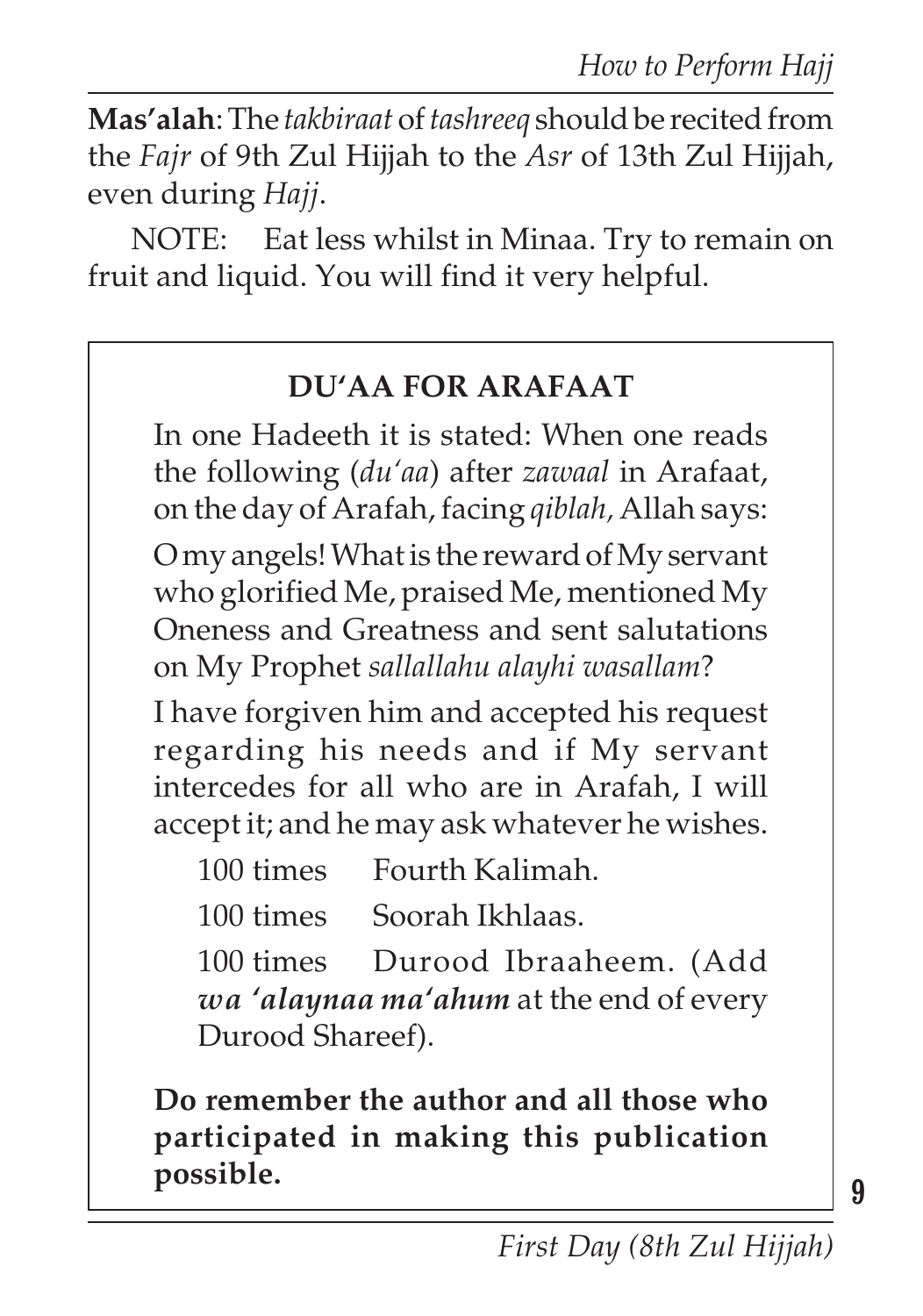**Mas'alah**: The *takbiraat* of *tashreeq* should be recited from the *Fajr* of 9th Zul Hijjah to the *Asr* of 13th Zul Hijjah, even during *Hajj*.

NOTE: Eat less whilst in Minaa. Try to remain on fruit and liquid. You will find it very helpful.

#### **DU'AA FOR ARAFAAT**

In one Hadeeth it is stated: When one reads the following (*du'aa*) after *zawaal* in Arafaat, on the day of Arafah, facing *qiblah,* Allah says:

O my angels! What is the reward of My servant who glorified Me, praised Me, mentioned My Oneness and Greatness and sent salutations on My Prophet *sallallahu alayhi wasallam*?

I have forgiven him and accepted his request regarding his needs and if My servant intercedes for all who are in Arafah, I will accept it; and he may ask whatever he wishes.

| 100 times | Fourth Kalimah. |
|-----------|-----------------|
|-----------|-----------------|

100 times Soorah Ikhlaas.

100 times Durood Ibraaheem. (Add *wa 'alaynaa ma'ahum* at the end of every Durood Shareef).

**Do remember the author and all those who participated in making this publication possible.**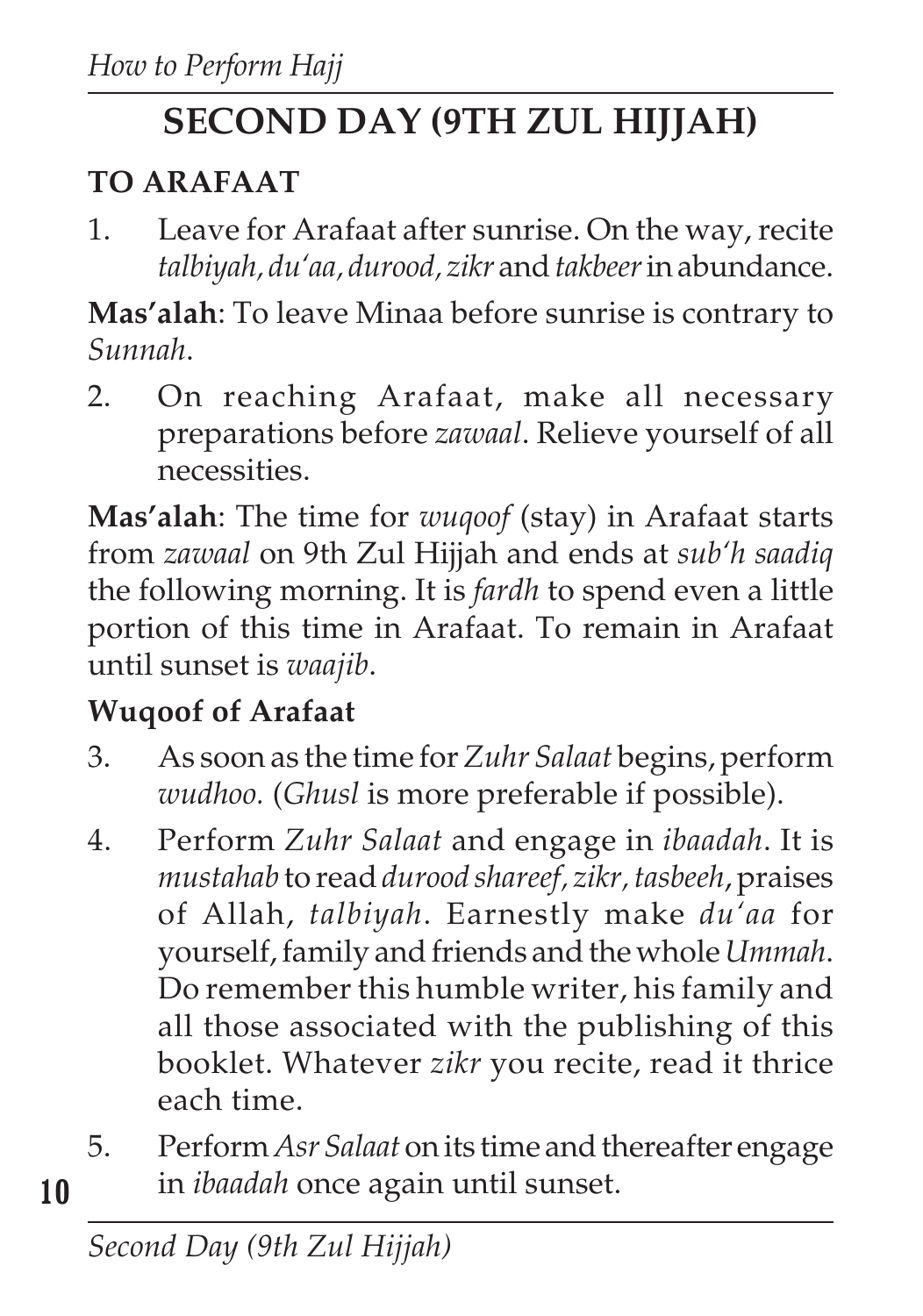# **SECOND DAY (9TH ZUL HIJJAH)**

## **TO ARAFAAT**

1. Leave for Arafaat after sunrise. On the way, recite *talbiyah, du'aa, durood, zikr* and*takbeer*in abundance.

**Mas'alah**: To leave Minaa before sunrise is contrary to *Sunnah*.

2. On reaching Arafaat, make all necessary preparations before *zawaal*. Relieve yourself of all necessities.

**Mas'alah**: The time for *wuqoof* (stay) in Arafaat starts from *zawaal* on 9th Zul Hijjah and ends at *sub'h saadiq* the following morning. It is *fardh* to spend even a little portion of this time in Arafaat. To remain in Arafaat until sunset is *waajib*.

## **Wuqoof of Arafaat**

- 3. As soon as the time for *Zuhr Salaat* begins, perform *wudhoo.* (*Ghusl* is more preferable if possible).
- 4. Perform *Zuhr Salaat* and engage in *ibaadah*. It is *mustahab* to read *durood shareef, zikr, tasbeeh*, praises of Allah, *talbiyah*. Earnestly make *du'aa* for yourself, family and friends and the whole *Ummah*. Do remember this humble writer, his family and all those associated with the publishing of this booklet. Whatever *zikr* you recite, read it thrice each time.
- 5. Perform *Asr Salaat* on its time and thereafter engage in *ibaadah* once again until sunset.

**10**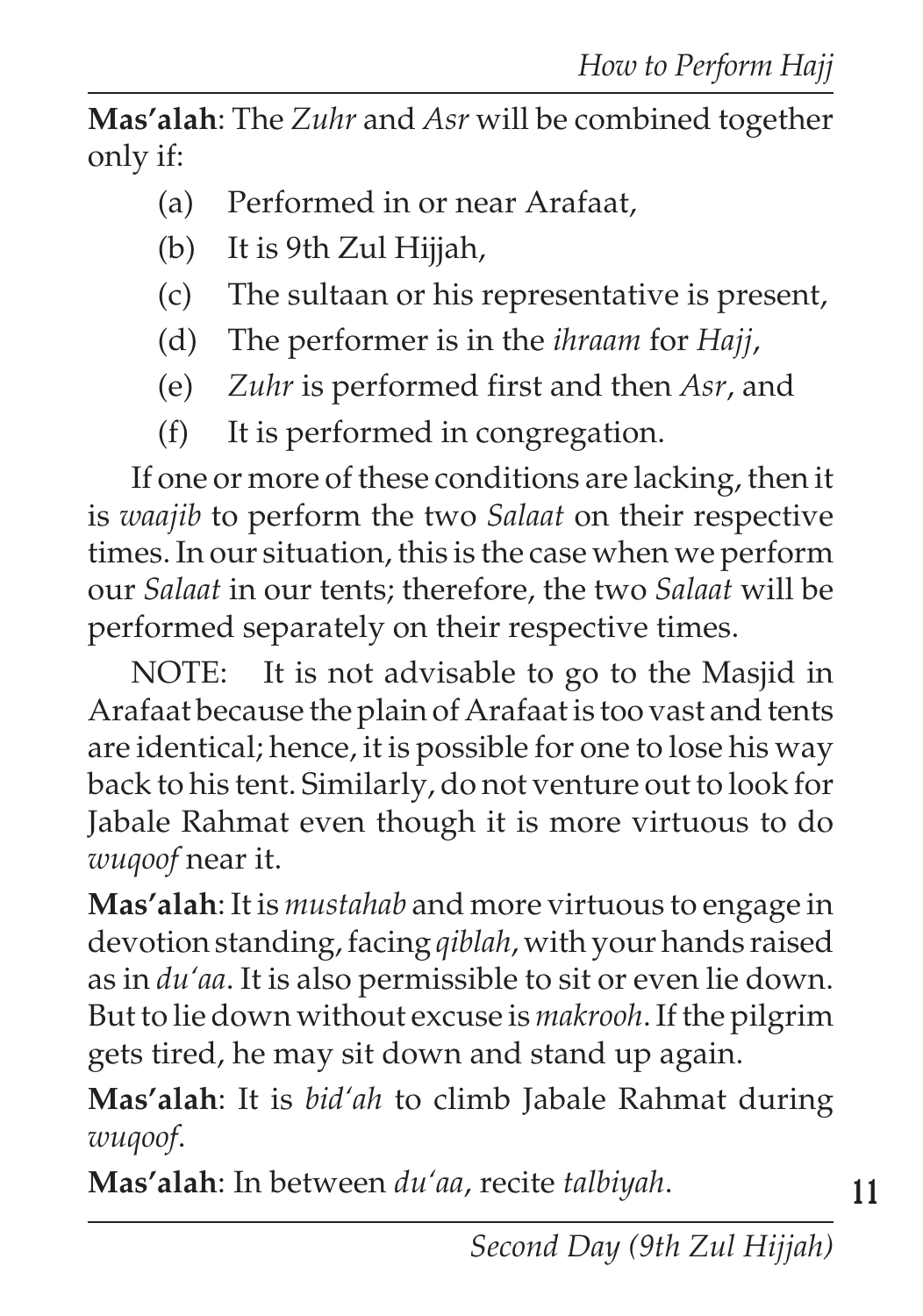**Mas'alah**: The *Zuhr* and *Asr* will be combined together only if:

- (a) Performed in or near Arafaat,
- (b) It is 9th Zul Hijjah,
- (c) The sultaan or his representative is present,
- (d) The performer is in the *ihraam* for *Hajj*,
- (e) *Zuhr* is performed first and then *Asr*, and
- (f) It is performed in congregation.

If one or more of these conditions are lacking, then it is *waajib* to perform the two *Salaat* on their respective times. In our situation, this is the case when we perform our *Salaat* in our tents; therefore, the two *Salaat* will be performed separately on their respective times.

NOTE: It is not advisable to go to the Masjid in Arafaat because the plain of Arafaat is too vast and tents are identical; hence, it is possible for one to lose his way back to his tent. Similarly, do not venture out to look for Jabale Rahmat even though it is more virtuous to do *wuqoof* near it.

**Mas'alah**: It is *mustahab* and more virtuous to engage in devotion standing, facing *qiblah*, with your hands raised as in *du'aa*. It is also permissible to sit or even lie down. But to lie down without excuse is *makrooh*. If the pilgrim gets tired, he may sit down and stand up again.

**Mas'alah**: It is *bid'ah* to climb Jabale Rahmat during *wuqoof*.

**Mas'alah**: In between *du'aa*, recite *talbiyah*.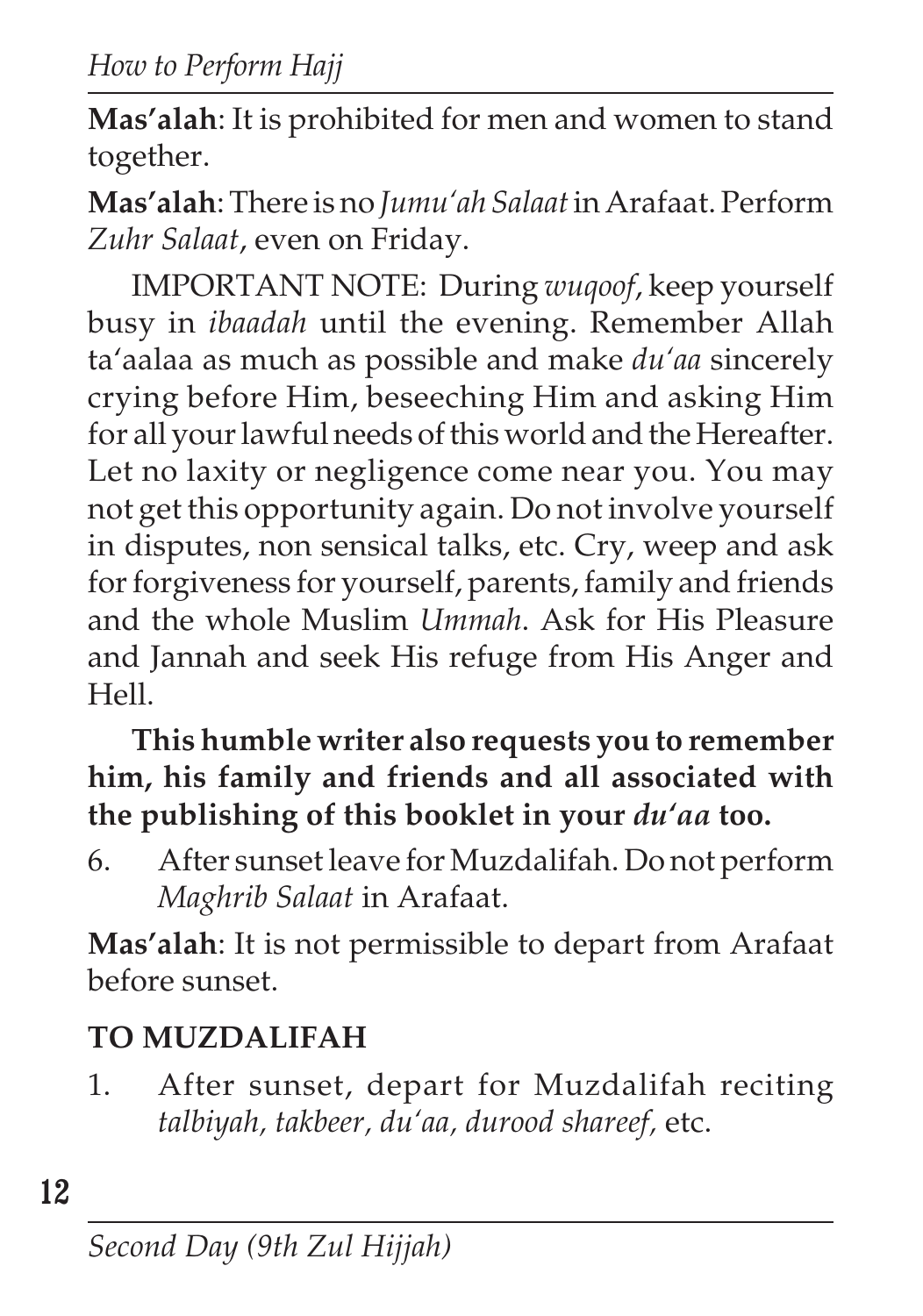**Mas'alah**: It is prohibited for men and women to stand together.

**Mas'alah**: There is no *Jumu'ah Salaat* in Arafaat. Perform *Zuhr Salaat*, even on Friday.

IMPORTANT NOTE: During *wuqoof*, keep yourself busy in *ibaadah* until the evening. Remember Allah ta'aalaa as much as possible and make *du'aa* sincerely crying before Him, beseeching Him and asking Him for all your lawful needs of this world and the Hereafter. Let no laxity or negligence come near you. You may not get this opportunity again. Do not involve yourself in disputes, non sensical talks, etc. Cry, weep and ask for forgiveness for yourself, parents, family and friends and the whole Muslim *Ummah*. Ask for His Pleasure and Jannah and seek His refuge from His Anger and Hell.

**This humble writer also requests you to remember him, his family and friends and all associated with the publishing of this booklet in your** *du'aa* **too.**

6. After sunset leave for Muzdalifah. Do not perform *Maghrib Salaat* in Arafaat.

**Mas'alah**: It is not permissible to depart from Arafaat before sunset.

# **TO MUZDALIFAH**

1. After sunset, depart for Muzdalifah reciting *talbiyah, takbeer, du'aa, durood shareef,* etc.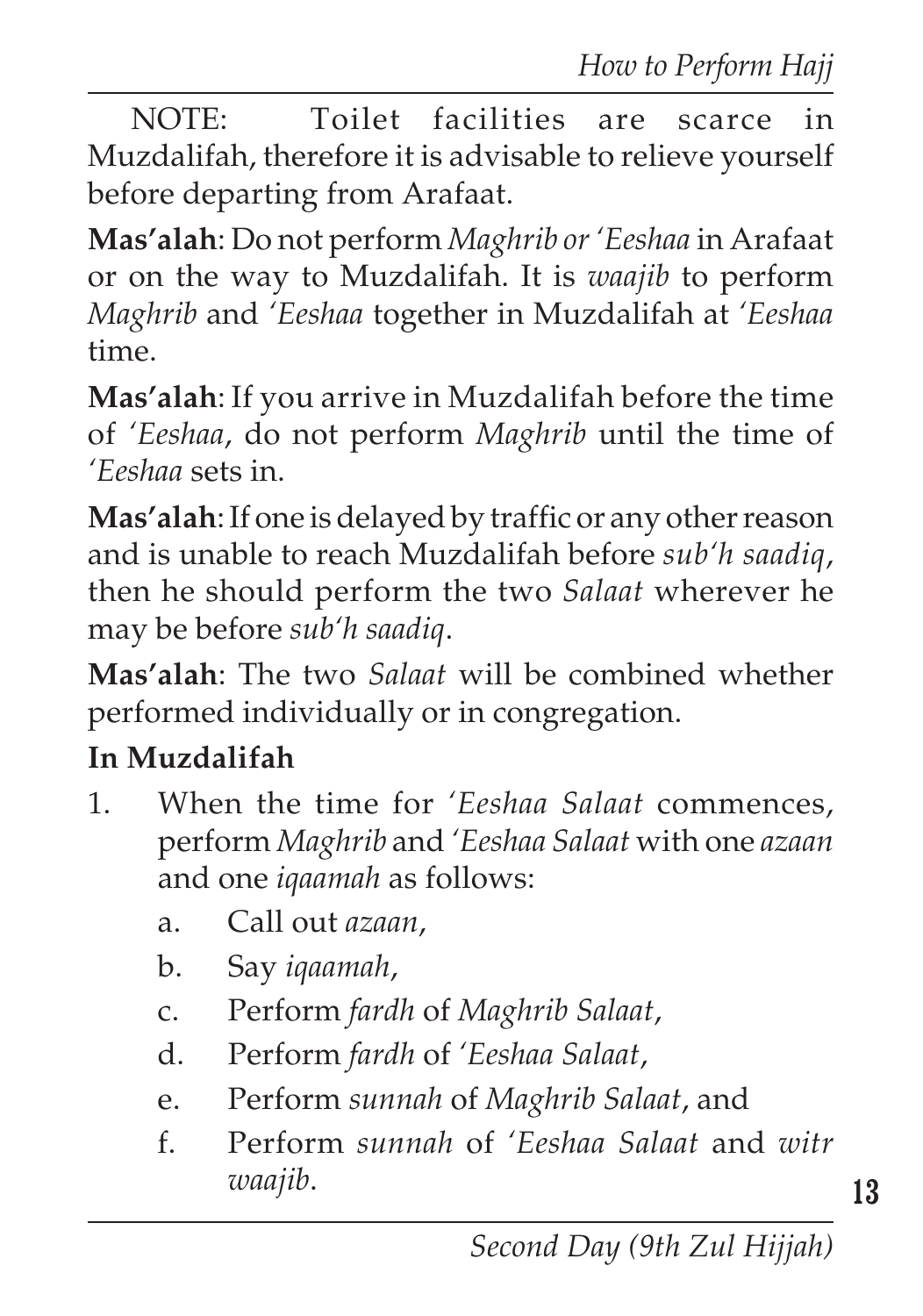NOTE: Toilet facilities are scarce in Muzdalifah, therefore it is advisable to relieve yourself before departing from Arafaat.

**Mas'alah**: Do not perform *Maghrib or 'Eeshaa* in Arafaat or on the way to Muzdalifah. It is *waajib* to perform *Maghrib* and *'Eeshaa* together in Muzdalifah at *'Eeshaa* time.

**Mas'alah**: If you arrive in Muzdalifah before the time of *'Eeshaa*, do not perform *Maghrib* until the time of *'Eeshaa* sets in.

**Mas'alah**: If one is delayed by traffic or any other reason and is unable to reach Muzdalifah before *sub'h saadiq*, then he should perform the two *Salaat* wherever he may be before *sub'h saadiq*.

**Mas'alah**: The two *Salaat* will be combined whether performed individually or in congregation.

### **In Muzdalifah**

- 1. When the time for *'Eeshaa Salaat* commences, perform *Maghrib* and *'Eeshaa Salaat* with one *azaan* and one *iqaamah* as follows:
	- a. Call out *azaan*,
	- b. Say *iqaamah*,
	- c. Perform *fardh* of *Maghrib Salaat*,
	- d. Perform *fardh* of *'Eeshaa Salaat*,
	- e. Perform *sunnah* of *Maghrib Salaat*, and
	- f. Perform *sunnah* of *'Eeshaa Salaat* and *witr waajib*.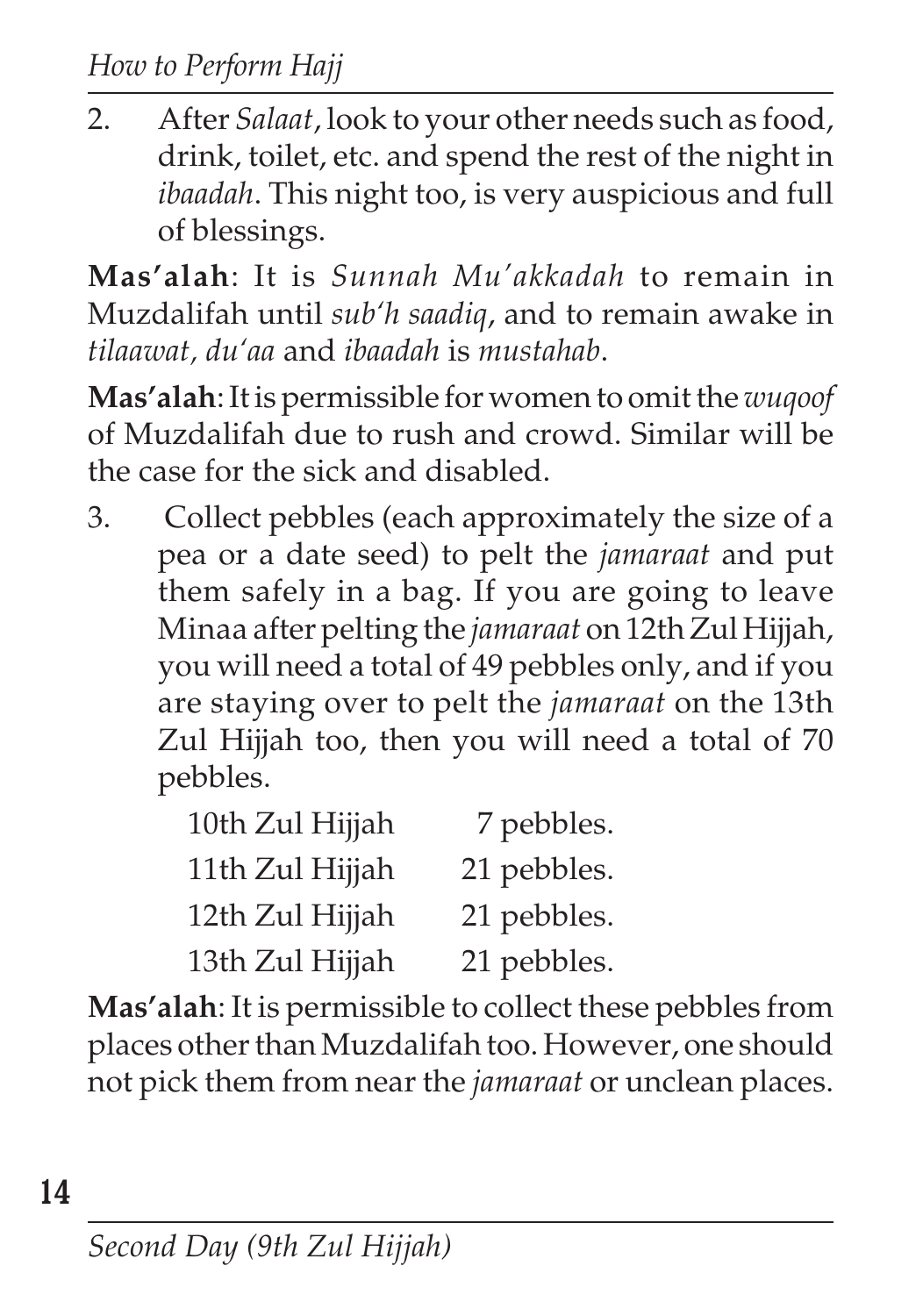2. After *Salaat*, look to your other needs such as food, drink, toilet, etc. and spend the rest of the night in *ibaadah*. This night too, is very auspicious and full of blessings.

**Mas'alah**: It is *Sunnah Mu'akkadah* to remain in Muzdalifah until *sub'h saadiq*, and to remain awake in *tilaawat, du'aa* and *ibaadah* is *mustahab*.

**Mas'alah**: It is permissible for women to omit the *wuqoof* of Muzdalifah due to rush and crowd. Similar will be the case for the sick and disabled.

3. Collect pebbles (each approximately the size of a pea or a date seed) to pelt the *jamaraat* and put them safely in a bag. If you are going to leave Minaa after pelting the *jamaraat* on 12th Zul Hijjah, you will need a total of 49 pebbles only, and if you are staying over to pelt the *jamaraat* on the 13th Zul Hijjah too, then you will need a total of 70 pebbles.

| 10th Zul Hijjah | 7 pebbles.  |
|-----------------|-------------|
| 11th Zul Hijjah | 21 pebbles. |
| 12th Zul Hijjah | 21 pebbles. |
| 13th Zul Hijjah | 21 pebbles. |

**Mas'alah**: It is permissible to collect these pebbles from places other than Muzdalifah too. However, one should not pick them from near the *jamaraat* or unclean places.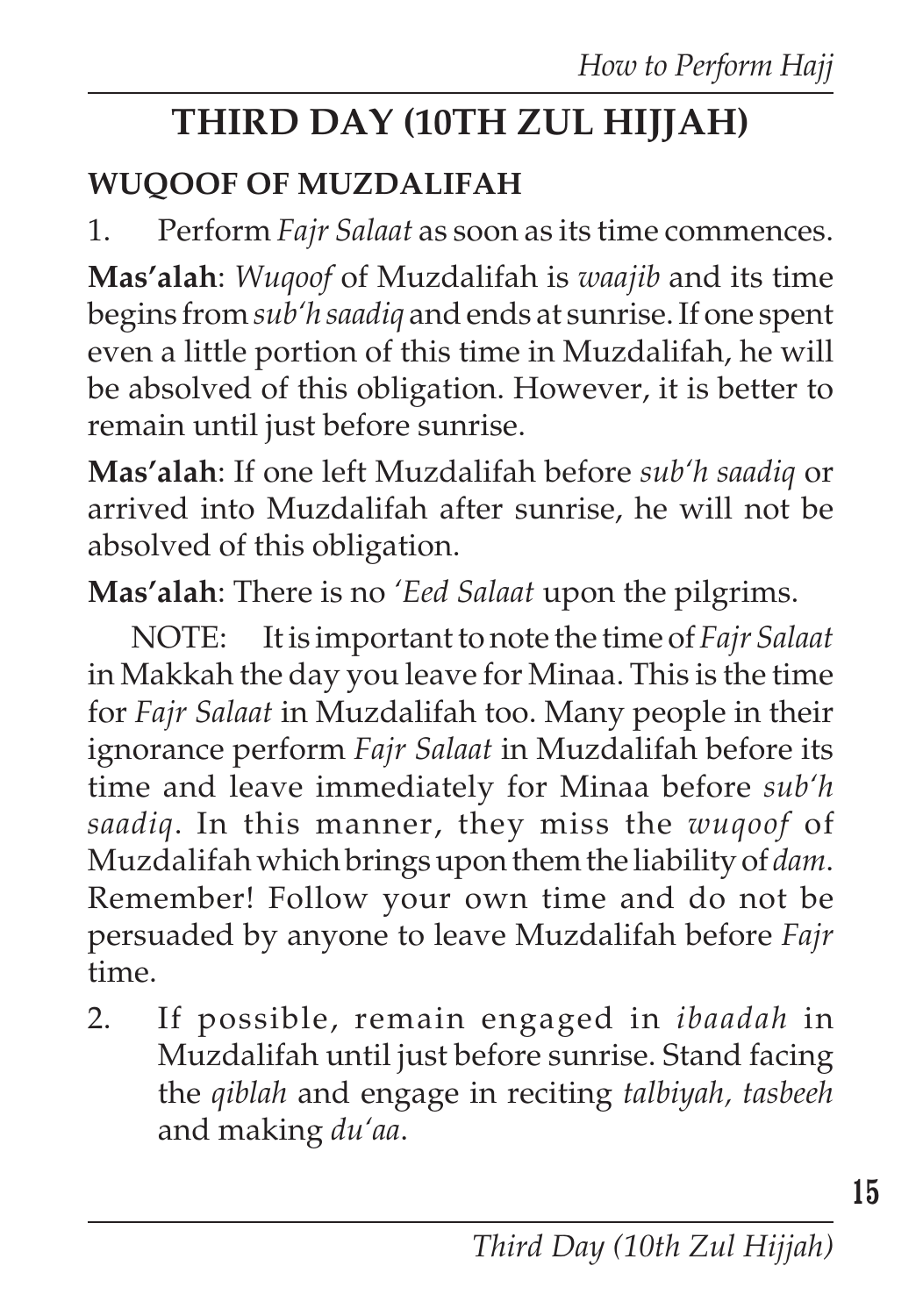# **THIRD DAY (10TH ZUL HIJJAH)**

## **WUQOOF OF MUZDALIFAH**

1. Perform *Fajr Salaat* as soon as its time commences.

**Mas'alah**: *Wuqoof* of Muzdalifah is *waajib* and its time begins from *sub'h saadiq* and ends at sunrise. If one spent even a little portion of this time in Muzdalifah, he will be absolved of this obligation. However, it is better to remain until just before sunrise.

**Mas'alah**: If one left Muzdalifah before *sub'h saadiq* or arrived into Muzdalifah after sunrise, he will not be absolved of this obligation.

**Mas'alah**: There is no *'Eed Salaat* upon the pilgrims.

NOTE: It is important to note the time of *Fajr Salaat* in Makkah the day you leave for Minaa. This is the time for *Fajr Salaat* in Muzdalifah too. Many people in their ignorance perform *Fajr Salaat* in Muzdalifah before its time and leave immediately for Minaa before *sub'h saadiq*. In this manner, they miss the *wuqoof* of Muzdalifah which brings upon them the liability of *dam*. Remember! Follow your own time and do not be persuaded by anyone to leave Muzdalifah before *Fajr* time.

2. If possible, remain engaged in *ibaadah* in Muzdalifah until just before sunrise. Stand facing the *qiblah* and engage in reciting *talbiyah, tasbeeh* and making *du'aa*.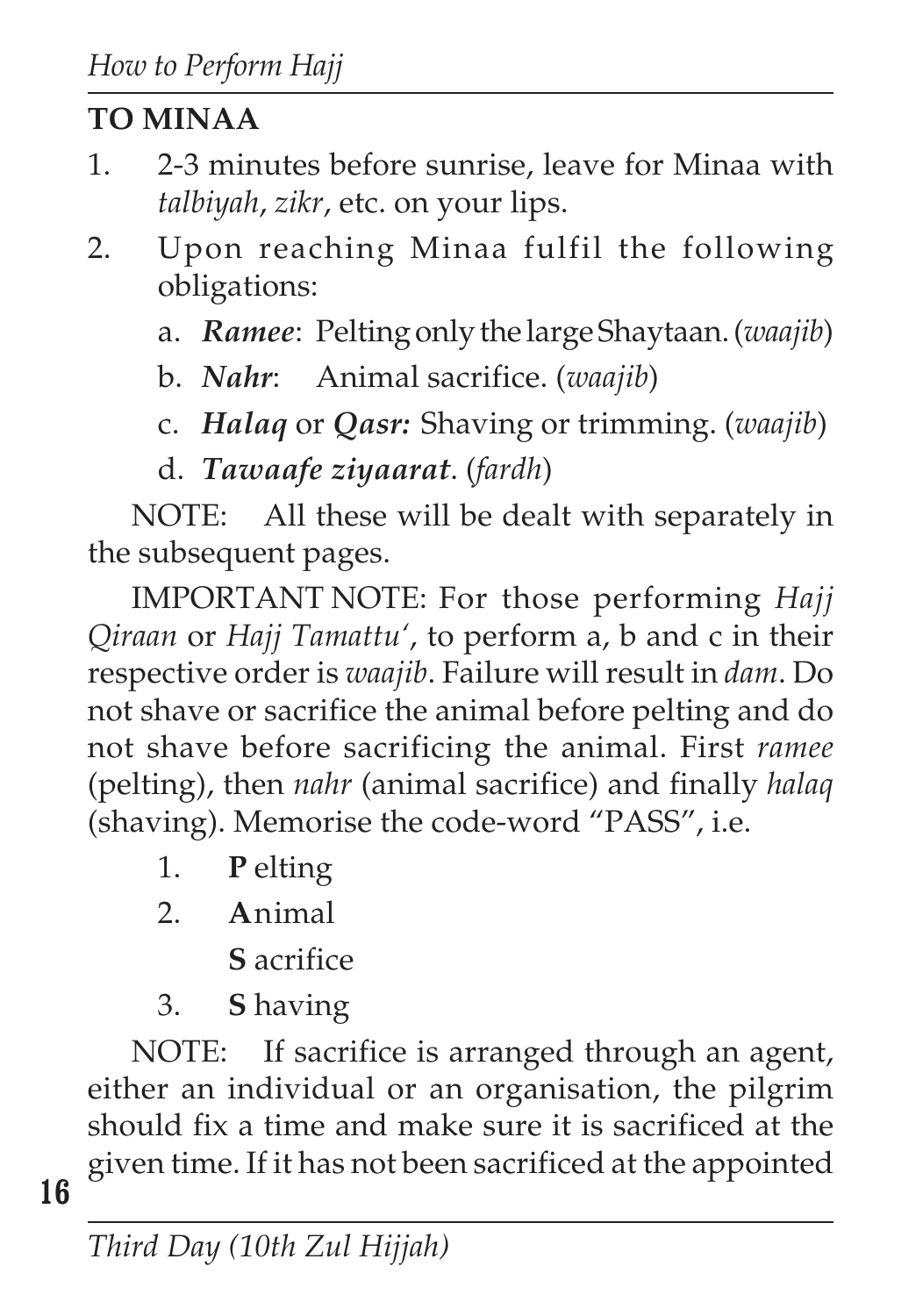# **TO MINAA**

- 1. 2-3 minutes before sunrise, leave for Minaa with *talbiyah*, *zikr*, etc. on your lips.
- 2. Upon reaching Minaa fulfil the following obligations:
	- a. *Ramee*: Pelting only the large Shaytaan. (*waajib*)
	- b. *Nahr*: Animal sacrifice. (*waajib*)
	- c. *Halaq* or *Qasr:* Shaving or trimming. (*waajib*)
	- d. *Tawaafe ziyaarat*. (*fardh*)

NOTE: All these will be dealt with separately in the subsequent pages.

IMPORTANT NOTE: For those performing *Hajj Qiraan* or *Hajj Tamattu'*, to perform a, b and c in their respective order is *waajib*. Failure will result in *dam*. Do not shave or sacrifice the animal before pelting and do not shave before sacrificing the animal. First *ramee* (pelting), then *nahr* (animal sacrifice) and finally *halaq* (shaving). Memorise the code-word "PASS", i.e.

- 1. **P** elting
- 2. **A**nimal
	- **S** acrifice
- 3. **S** having

NOTE: If sacrifice is arranged through an agent, either an individual or an organisation, the pilgrim should fix a time and make sure it is sacrificed at the given time. If it has not been sacrificed at the appointed

**16**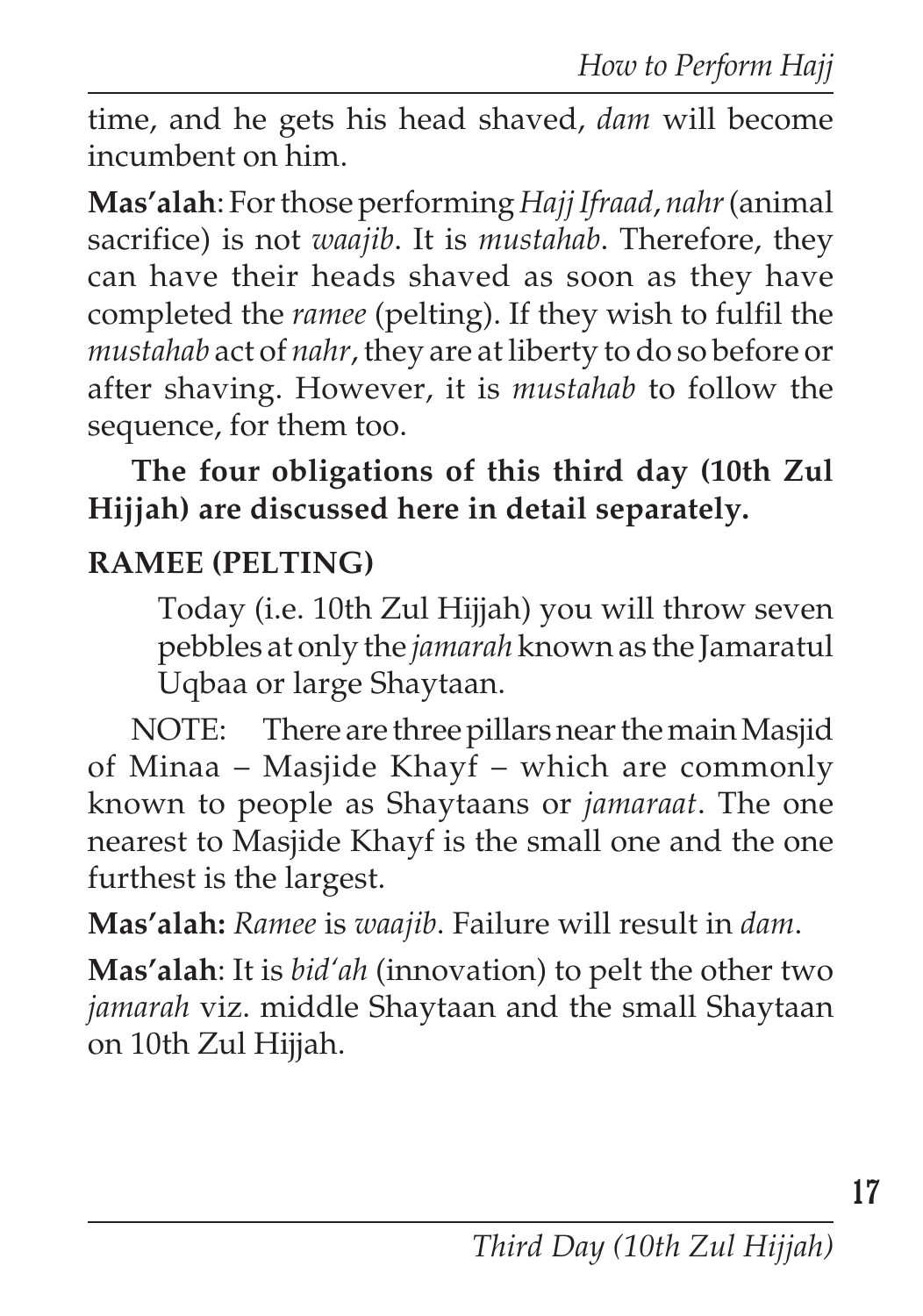time, and he gets his head shaved, *dam* will become incumbent on him.

**Mas'alah**: For those performing *Hajj Ifraad*, *nahr* (animal sacrifice) is not *waajib*. It is *mustahab*. Therefore, they can have their heads shaved as soon as they have completed the *ramee* (pelting). If they wish to fulfil the *mustahab* act of *nahr*, they are at liberty to do so before or after shaving. However, it is *mustahab* to follow the sequence, for them too.

**The four obligations of this third day (10th Zul Hijjah) are discussed here in detail separately.**

### **RAMEE (PELTING)**

Today (i.e. 10th Zul Hijjah) you will throw seven pebbles at only the *jamarah* known as the Jamaratul Uqbaa or large Shaytaan.

NOTE: There are three pillars near the main Masjid of Minaa – Masjide Khayf – which are commonly known to people as Shaytaans or *jamaraat*. The one nearest to Masjide Khayf is the small one and the one furthest is the largest.

**Mas'alah:** *Ramee* is *waajib*. Failure will result in *dam*.

**Mas'alah**: It is *bid'ah* (innovation) to pelt the other two *jamarah* viz. middle Shaytaan and the small Shaytaan on 10th Zul Hijjah.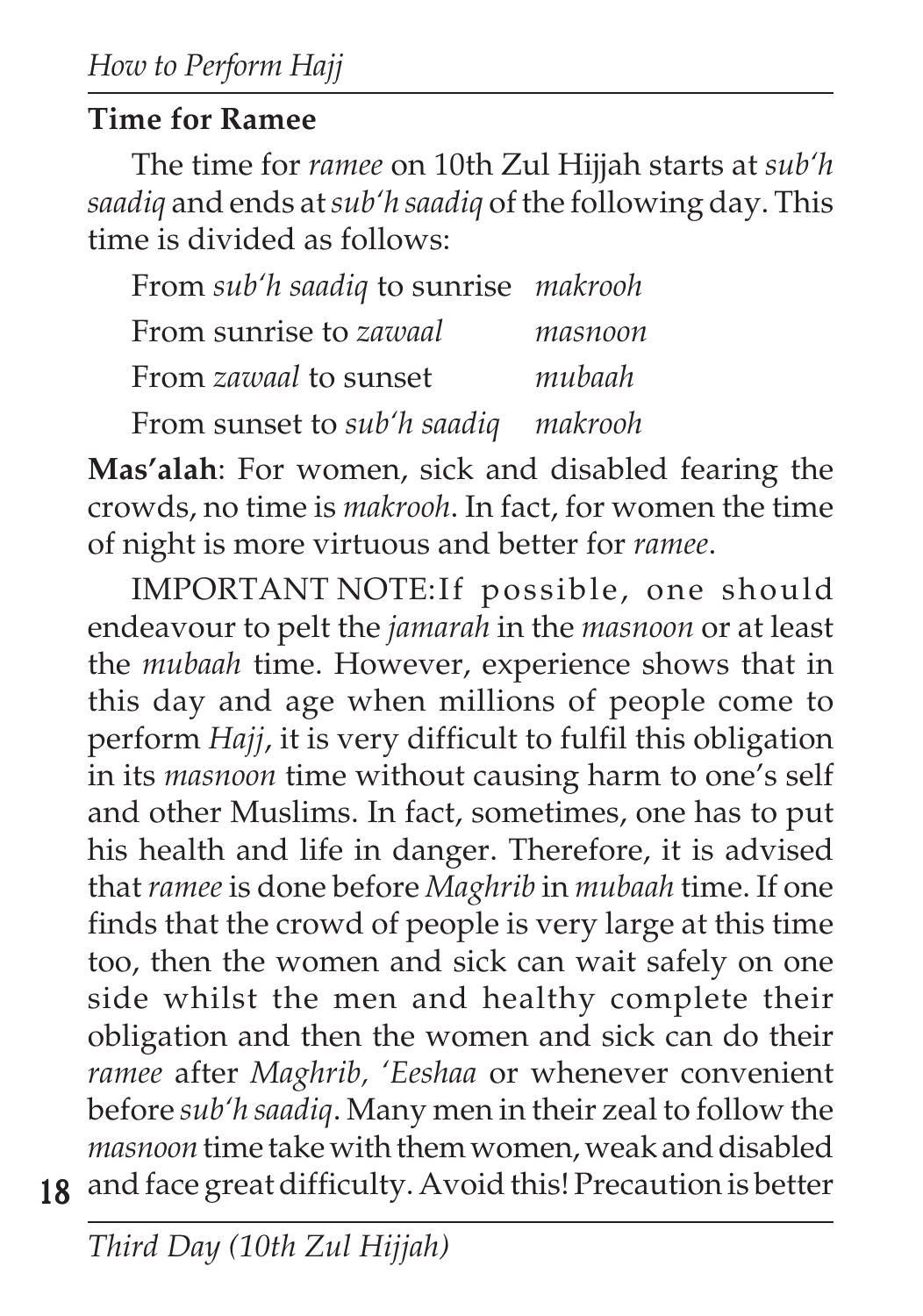#### **Time for Ramee**

The time for *ramee* on 10th Zul Hijjah starts at *sub'h saadiq* and ends at *sub'h saadiq* of the following day. This time is divided as follows:

| From sub'h saadiq to sunrise makrooh |         |
|--------------------------------------|---------|
| From sunrise to zawaal               | masnoon |
| From <i>zawaal</i> to sunset         | mubaah  |
| From sunset to sub'h saadiq makrooh  |         |

**Mas'alah**: For women, sick and disabled fearing the crowds, no time is *makrooh*. In fact, for women the time of night is more virtuous and better for *ramee*.

**18** and face great difficulty. Avoid this! Precaution is betterIMPORTANT NOTE:If possible, one should endeavour to pelt the *jamarah* in the *masnoon* or at least the *mubaah* time. However, experience shows that in this day and age when millions of people come to perform *Hajj*, it is very difficult to fulfil this obligation in its *masnoon* time without causing harm to one's self and other Muslims. In fact, sometimes, one has to put his health and life in danger. Therefore, it is advised that *ramee* is done before *Maghrib* in *mubaah* time. If one finds that the crowd of people is very large at this time too, then the women and sick can wait safely on one side whilst the men and healthy complete their obligation and then the women and sick can do their *ramee* after *Maghrib, 'Eeshaa* or whenever convenient before *sub'h saadiq*. Many men in their zeal to follow the *masnoon* time take with them women, weak and disabled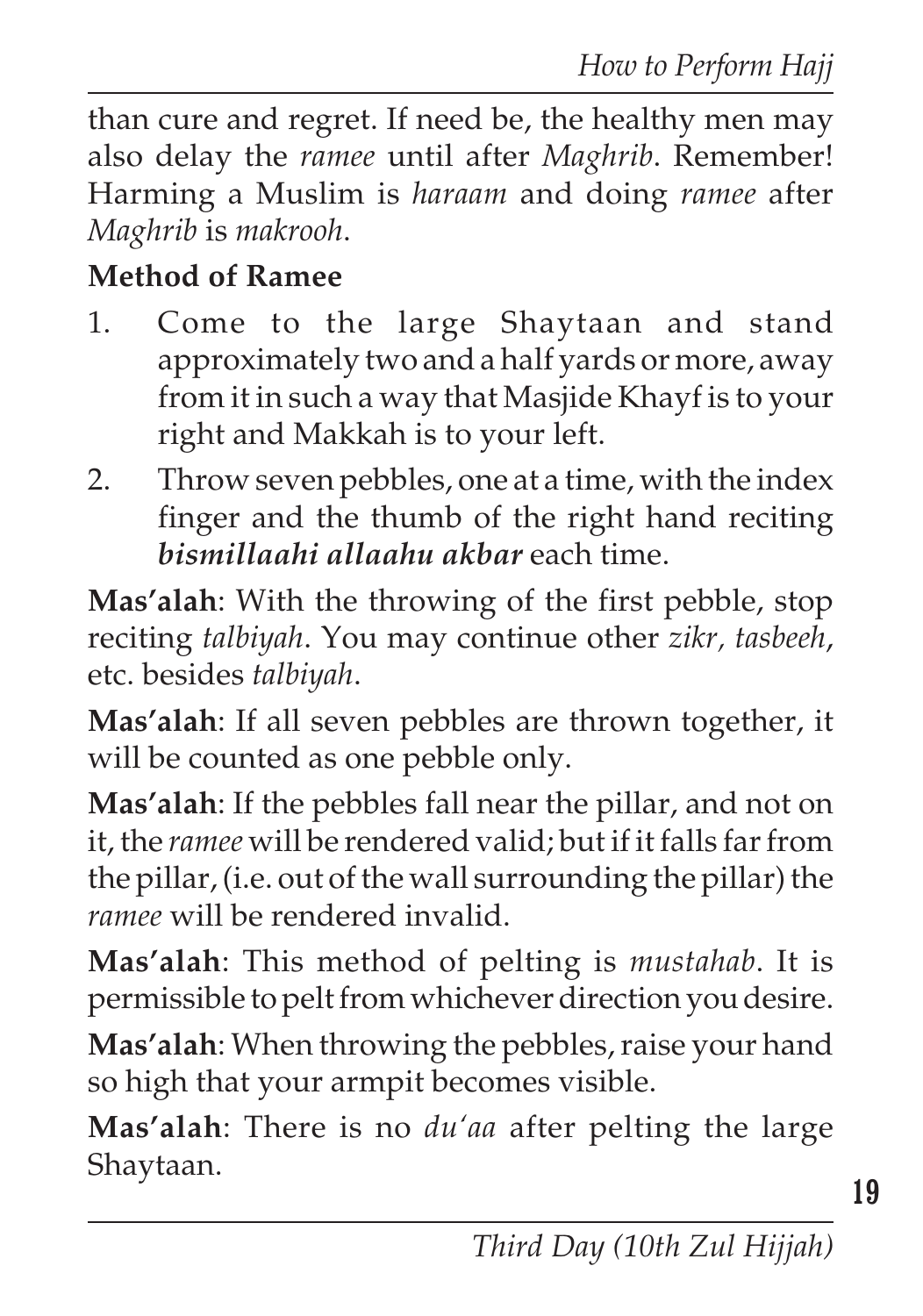than cure and regret. If need be, the healthy men may also delay the *ramee* until after *Maghrib*. Remember! Harming a Muslim is *haraam* and doing *ramee* after *Maghrib* is *makrooh*.

#### **Method of Ramee**

- 1. Come to the large Shaytaan and stand approximately two and a half yards or more, away from it in such a way that Masjide Khayf is to your right and Makkah is to your left.
- 2. Throw seven pebbles, one at a time, with the index finger and the thumb of the right hand reciting *bismillaahi allaahu akbar* each time.

**Mas'alah**: With the throwing of the first pebble, stop reciting *talbiyah*. You may continue other *zikr, tasbeeh*, etc. besides *talbiyah*.

**Mas'alah**: If all seven pebbles are thrown together, it will be counted as one pebble only.

**Mas'alah**: If the pebbles fall near the pillar, and not on it, the *ramee* will be rendered valid; but if it falls far from the pillar, (i.e. out of the wall surrounding the pillar) the *ramee* will be rendered invalid.

**Mas'alah**: This method of pelting is *mustahab*. It is permissible to pelt from whichever direction you desire.

**Mas'alah**: When throwing the pebbles, raise your hand so high that your armpit becomes visible.

**Mas'alah**: There is no *du'aa* after pelting the large Shaytaan.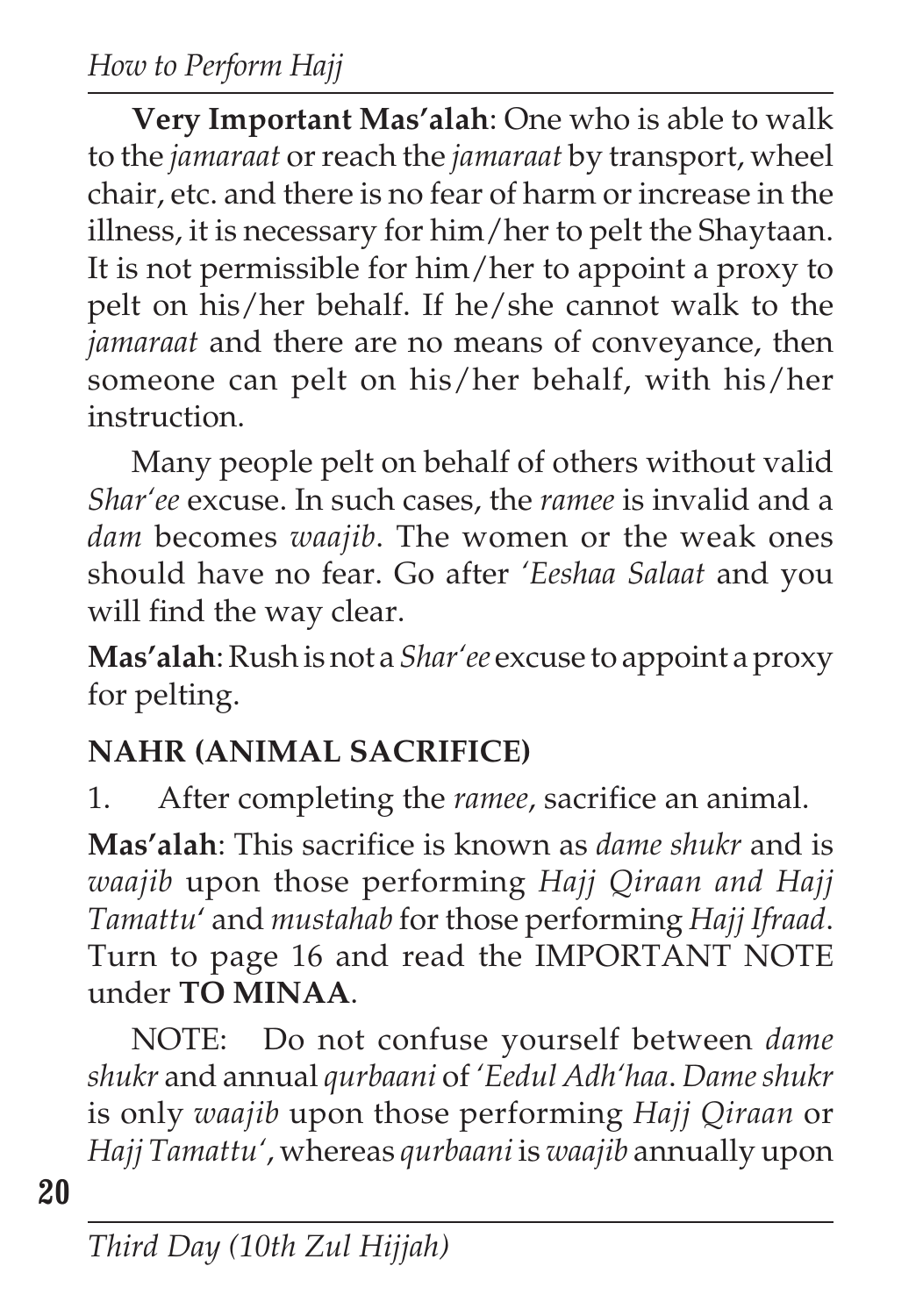**Very Important Mas'alah**: One who is able to walk to the *jamaraat* or reach the *jamaraat* by transport, wheel chair, etc. and there is no fear of harm or increase in the illness, it is necessary for him/her to pelt the Shaytaan. It is not permissible for him/her to appoint a proxy to pelt on his/her behalf. If he/she cannot walk to the *jamaraat* and there are no means of conveyance, then someone can pelt on his/her behalf, with his/her instruction.

Many people pelt on behalf of others without valid *Shar'ee* excuse. In such cases, the *ramee* is invalid and a *dam* becomes *waajib*. The women or the weak ones should have no fear. Go after *'Eeshaa Salaat* and you will find the way clear.

**Mas'alah**: Rush is not a *Shar'ee* excuse to appoint a proxy for pelting.

## **NAHR (ANIMAL SACRIFICE)**

1. After completing the *ramee*, sacrifice an animal.

**Mas'alah**: This sacrifice is known as *dame shukr* and is *waajib* upon those performing *Hajj Qiraan and Hajj Tamattu*' and *mustahab* for those performing *Hajj Ifraad*. Turn to page 16 and read the IMPORTANT NOTE under **TO MINAA**.

NOTE: Do not confuse yourself between *dame shukr* and annual *qurbaani* of *'Eedul Adh'haa*. *Dame shukr* is only *waajib* upon those performing *Hajj Qiraan* or *Hajj Tamattu'*, whereas *qurbaani* is *waajib* annually upon

**20**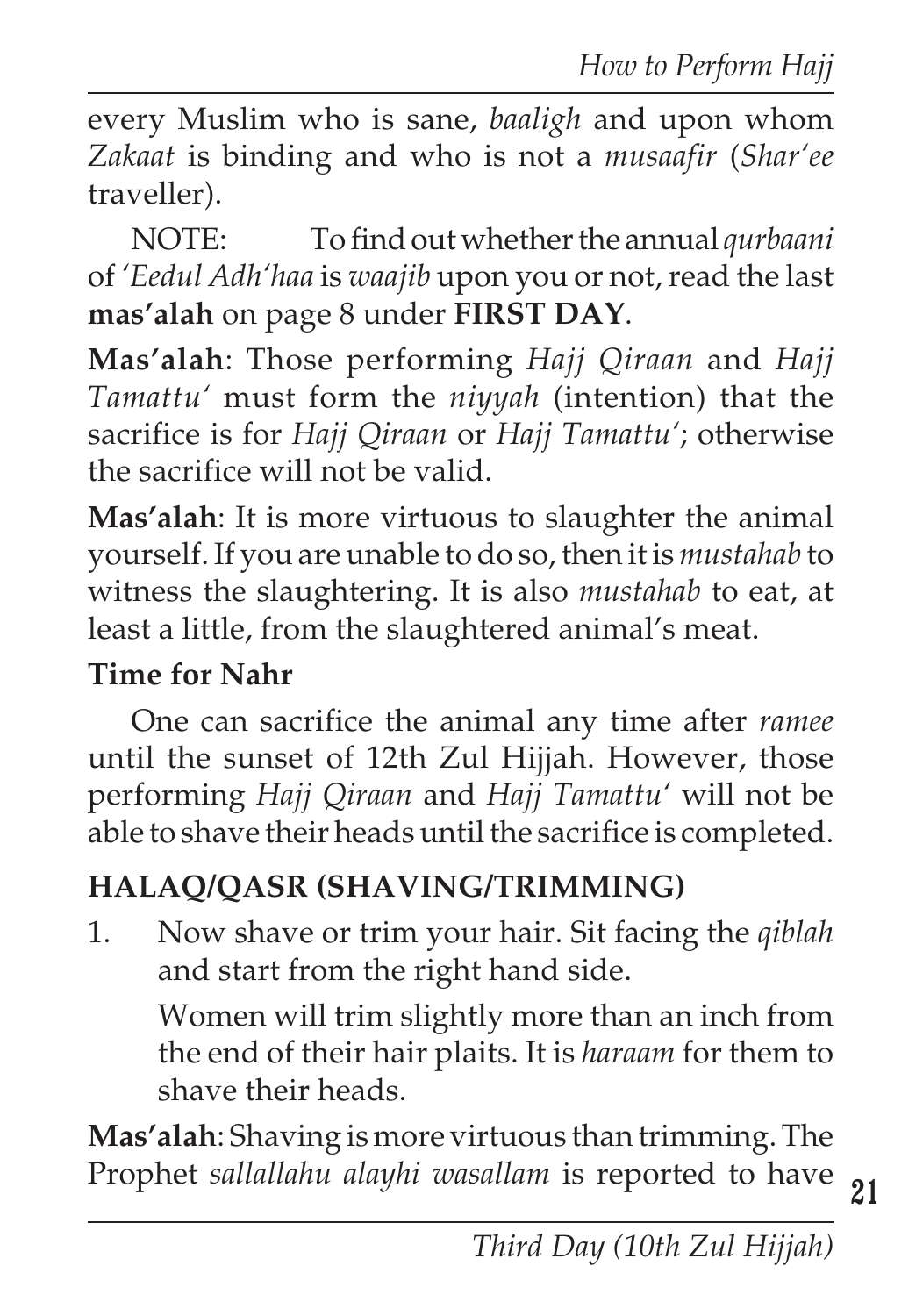every Muslim who is sane, *baaligh* and upon whom *Zakaat* is binding and who is not a *musaafir* (*Shar'ee* traveller).

NOTE: To find out whether the annual *qurbaani* of *'Eedul Adh'haa* is *waajib* upon you or not, read the last **mas'alah** on page 8 under **FIRST DAY**.

**Mas'alah**: Those performing *Hajj Qiraan* and *Hajj Tamattu'* must form the *niyyah* (intention) that the sacrifice is for *Hajj Qiraan* or *Hajj Tamattu'*; otherwise the sacrifice will not be valid.

**Mas'alah**: It is more virtuous to slaughter the animal yourself. If you are unable to do so, then it is *mustahab* to witness the slaughtering. It is also *mustahab* to eat, at least a little, from the slaughtered animal's meat.

#### **Time for Nahr**

One can sacrifice the animal any time after *ramee* until the sunset of 12th Zul Hijjah. However, those performing *Hajj Qiraan* and *Hajj Tamattu'* will not be able to shave their heads until the sacrifice is completed.

## **HALAQ/QASR (SHAVING/TRIMMING)**

1. Now shave or trim your hair. Sit facing the *qiblah* and start from the right hand side.

Women will trim slightly more than an inch from the end of their hair plaits. It is *haraam* for them to shave their heads.

**Mas'alah**: Shaving is more virtuous than trimming. The Prophet *sallallahu alayhi wasallam* is reported to have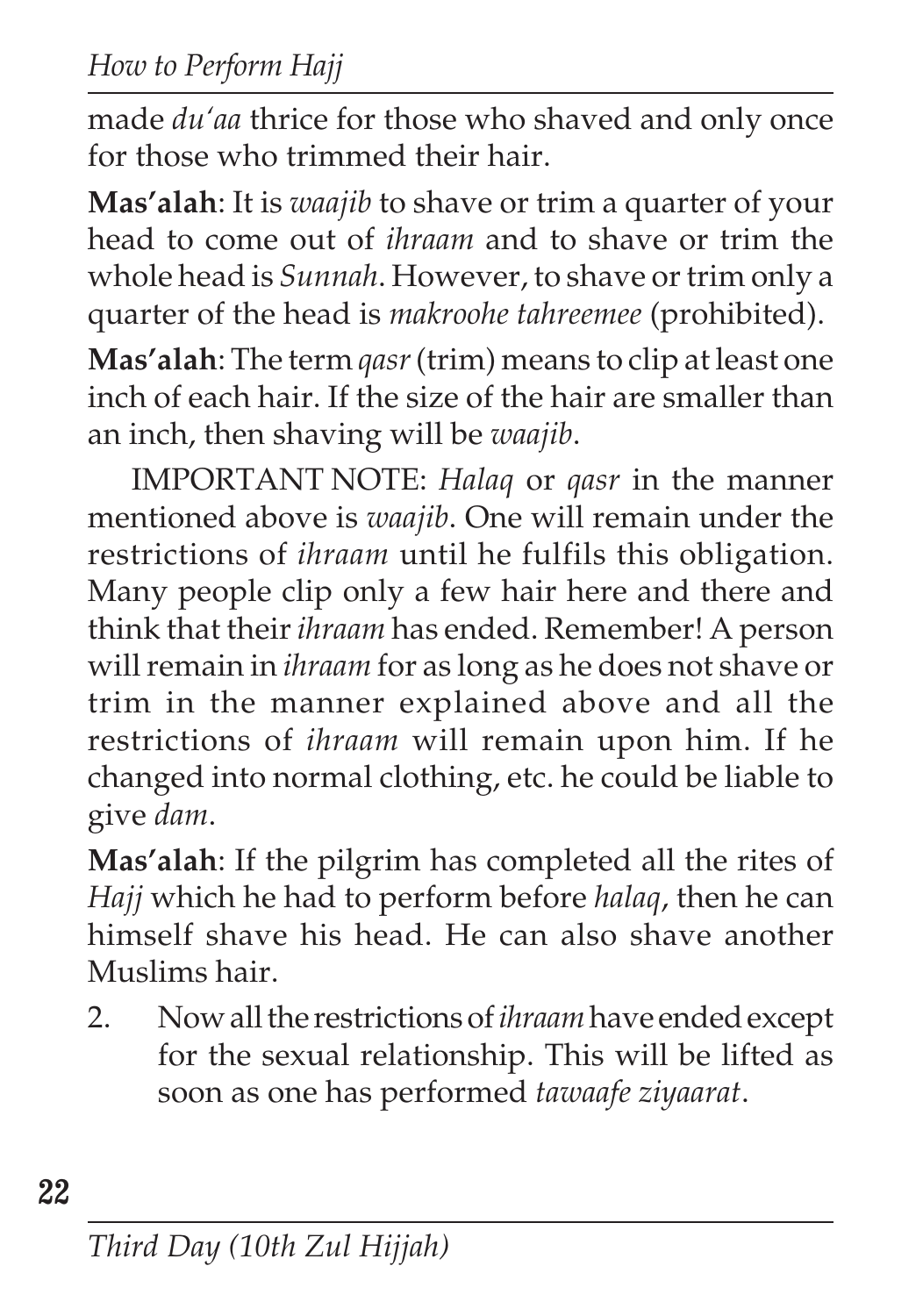*How to Perform Hajj*

made *du'aa* thrice for those who shaved and only once for those who trimmed their hair.

**Mas'alah**: It is *waajib* to shave or trim a quarter of your head to come out of *ihraam* and to shave or trim the whole head is *Sunnah*. However, to shave or trim only a quarter of the head is *makroohe tahreemee* (prohibited).

**Mas'alah**: The term *qasr* (trim) means to clip at least one inch of each hair. If the size of the hair are smaller than an inch, then shaving will be *waajib*.

IMPORTANT NOTE: *Halaq* or *qasr* in the manner mentioned above is *waajib*. One will remain under the restrictions of *ihraam* until he fulfils this obligation. Many people clip only a few hair here and there and think that their *ihraam* has ended. Remember! A person will remain in *ihraam* for as long as he does not shave or trim in the manner explained above and all the restrictions of *ihraam* will remain upon him. If he changed into normal clothing, etc. he could be liable to give *dam*.

**Mas'alah**: If the pilgrim has completed all the rites of *Hajj* which he had to perform before *halaq*, then he can himself shave his head. He can also shave another Muslims hair.

2. Now all the restrictions of *ihraam*have ended except for the sexual relationship. This will be lifted as soon as one has performed *tawaafe ziyaarat*.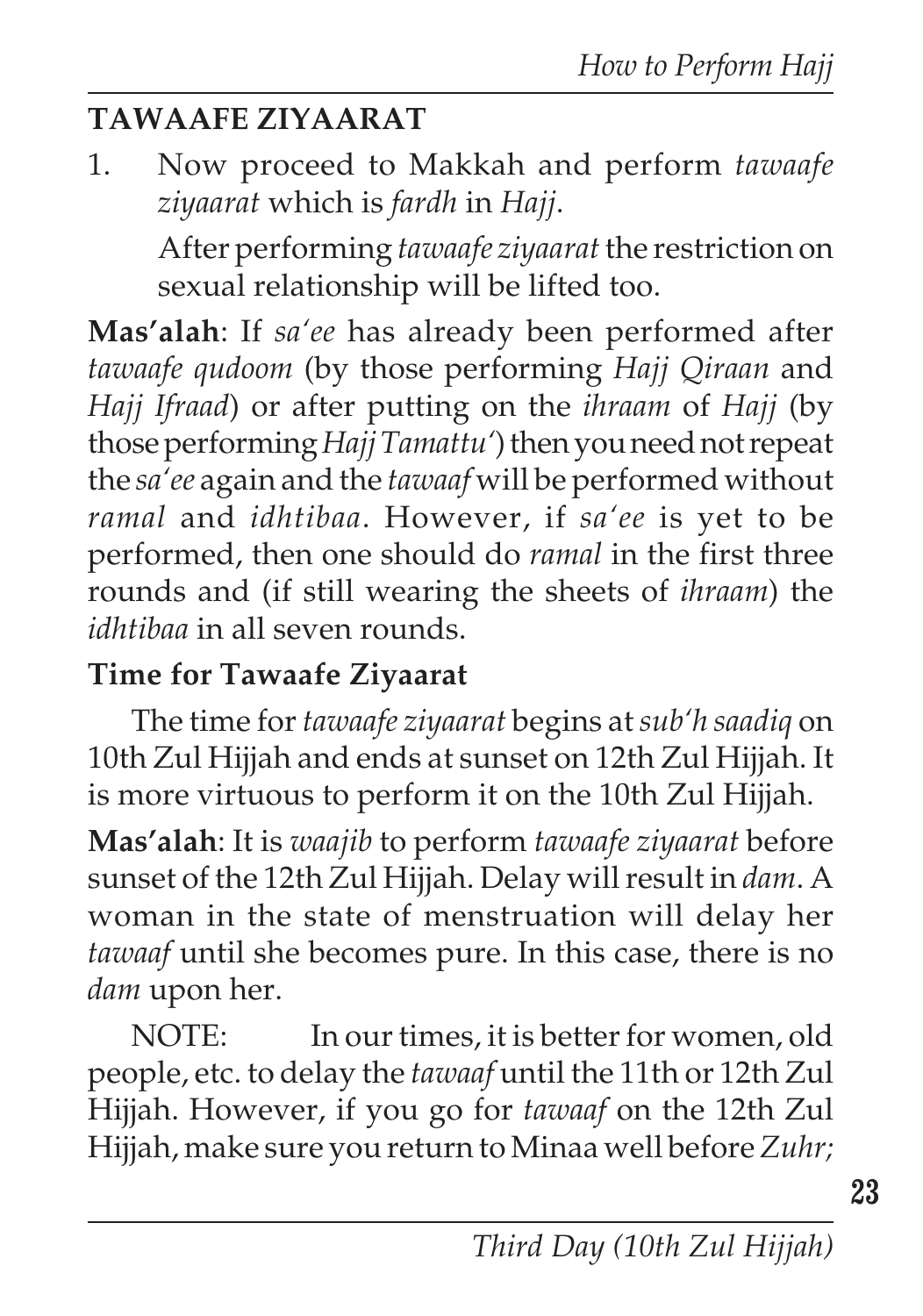## **TAWAAFE ZIYAARAT**

1. Now proceed to Makkah and perform *tawaafe ziyaarat* which is *fardh* in *Hajj*. After performing *tawaafe ziyaarat* the restriction on sexual relationship will be lifted too.

**Mas'alah**: If *sa'ee* has already been performed after *tawaafe qudoom* (by those performing *Hajj Qiraan* and *Hajj Ifraad*) or after putting on the *ihraam* of *Hajj* (by those performing *Hajj Tamattu'*) then you need not repeat the *sa'ee* again and the *tawaaf* will be performed without *ramal* and *idhtibaa*. However, if *sa'ee* is yet to be performed, then one should do *ramal* in the first three rounds and (if still wearing the sheets of *ihraam*) the *idhtibaa* in all seven rounds.

### **Time for Tawaafe Ziyaarat**

The time for *tawaafe ziyaarat* begins at*sub'h saadiq* on 10th Zul Hijjah and ends at sunset on 12th Zul Hijjah. It is more virtuous to perform it on the 10th Zul Hijjah.

**Mas'alah**: It is *waajib* to perform *tawaafe ziyaarat* before sunset of the 12th Zul Hijjah. Delay will result in *dam*. A woman in the state of menstruation will delay her *tawaaf* until she becomes pure. In this case, there is no *dam* upon her.

NOTE: In our times, it is better for women, old people, etc. to delay the *tawaaf* until the 11th or 12th Zul Hijjah. However, if you go for *tawaaf* on the 12th Zul Hijjah, make sure you return to Minaa well before *Zuhr;*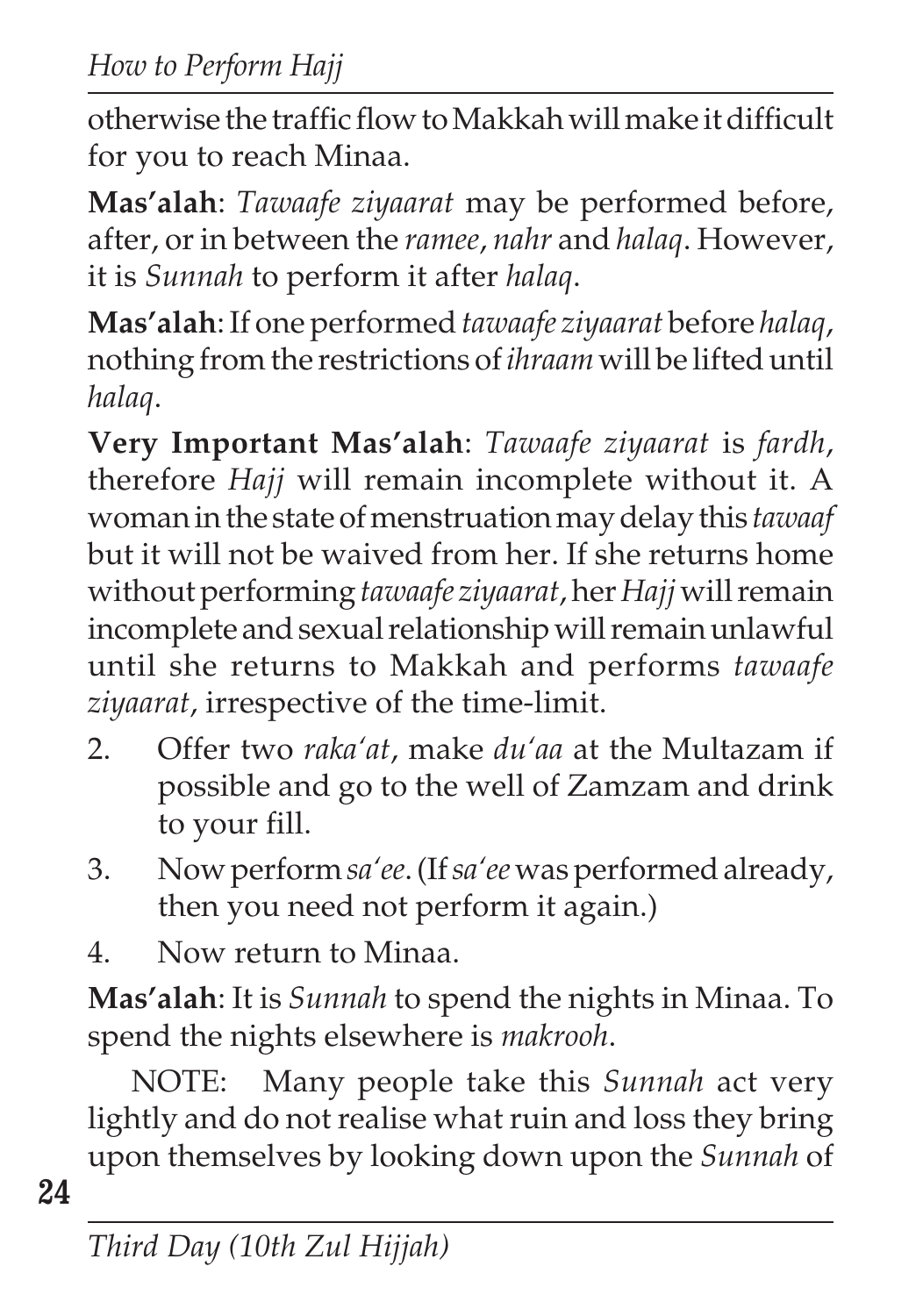otherwise the traffic flow to Makkah will make it difficult for you to reach Minaa.

**Mas'alah**: *Tawaafe ziyaarat* may be performed before, after, or in between the *ramee*, *nahr* and *halaq*. However, it is *Sunnah* to perform it after *halaq*.

**Mas'alah**: If one performed *tawaafe ziyaarat* before *halaq*, nothing from the restrictions of *ihraam* will be lifted until *halaq*.

**Very Important Mas'alah**: *Tawaafe ziyaarat* is *fardh*, therefore *Hajj* will remain incomplete without it. A woman in the state of menstruation may delay this *tawaaf* but it will not be waived from her. If she returns home without performing *tawaafe ziyaarat*, her *Hajj* will remain incomplete and sexual relationship will remain unlawful until she returns to Makkah and performs *tawaafe ziyaarat*, irrespective of the time-limit.

- 2. Offer two *raka'at*, make *du'aa* at the Multazam if possible and go to the well of Zamzam and drink to your fill.
- 3. Now perform *sa'ee*. (If *sa'ee* was performed already, then you need not perform it again.)
- 4. Now return to Minaa.

**Mas'alah**: It is *Sunnah* to spend the nights in Minaa. To spend the nights elsewhere is *makrooh*.

NOTE: Many people take this *Sunnah* act very lightly and do not realise what ruin and loss they bring upon themselves by looking down upon the *Sunnah* of

**24**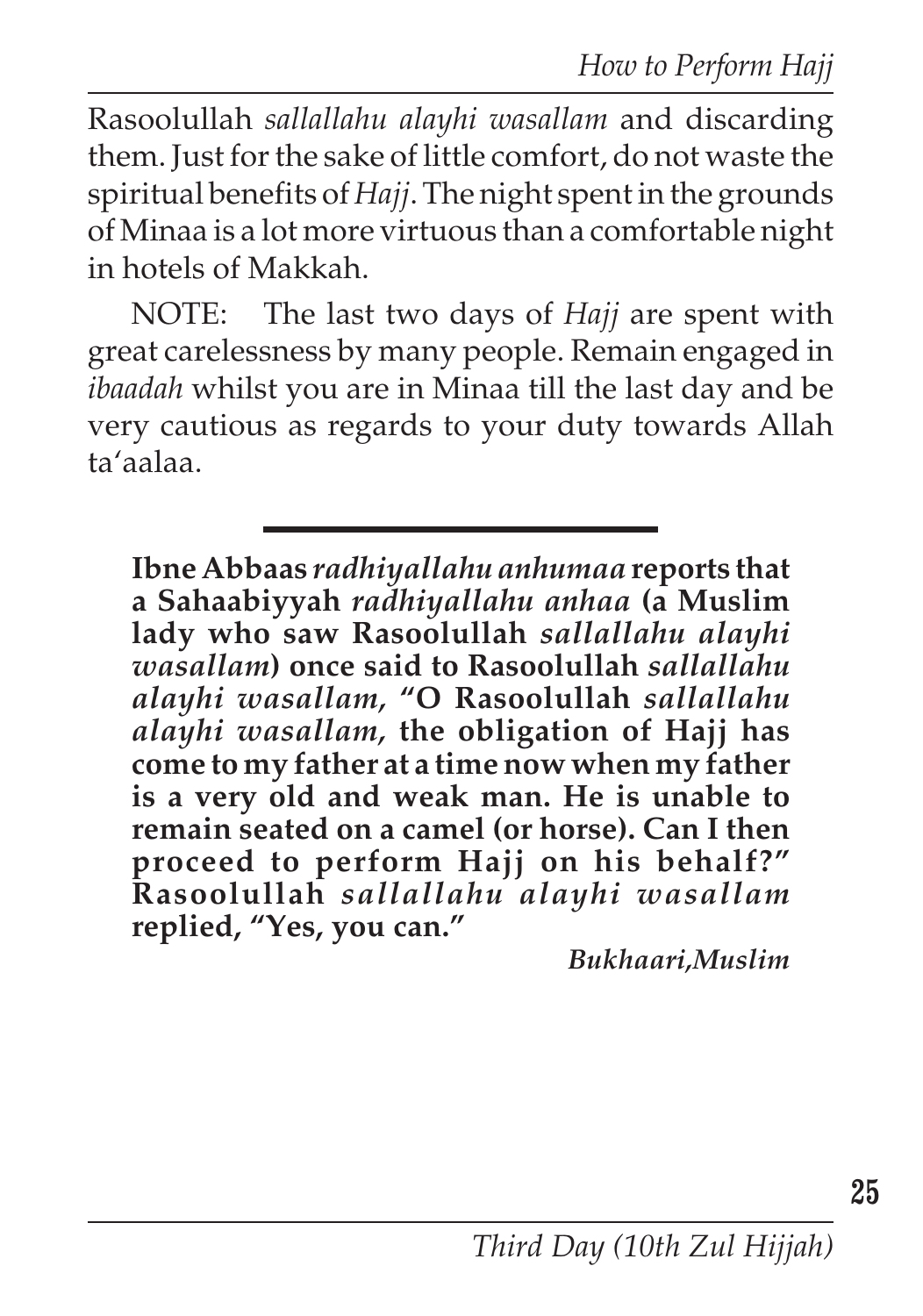*How to Perform Hajj*

Rasoolullah *sallallahu alayhi wasallam* and discarding them. Just for the sake of little comfort, do not waste the spiritual benefits of *Hajj*. The night spent in the grounds of Minaa is a lot more virtuous than a comfortable night in hotels of Makkah.

NOTE: The last two days of *Hajj* are spent with great carelessness by many people. Remain engaged in *ibaadah* whilst you are in Minaa till the last day and be very cautious as regards to your duty towards Allah ta'aalaa.

**Ibne Abbaas** *radhiyallahu anhumaa* **reports that a Sahaabiyyah** *radhiyallahu anhaa* **(a Muslim lady who saw Rasoolullah** *sallallahu alayhi wasallam***) once said to Rasoolullah** *sallallahu alayhi wasallam,* **"O Rasoolullah** *sallallahu alayhi wasallam,* **the obligation of Hajj has come to my father at a time now when my father is a very old and weak man. He is unable to remain seated on a camel (or horse). Can I then proceed to perform Hajj on his behalf?" Rasoolullah** *sallallahu alayhi wasallam* **replied, "Yes, you can."**

*Bukhaari,Muslim*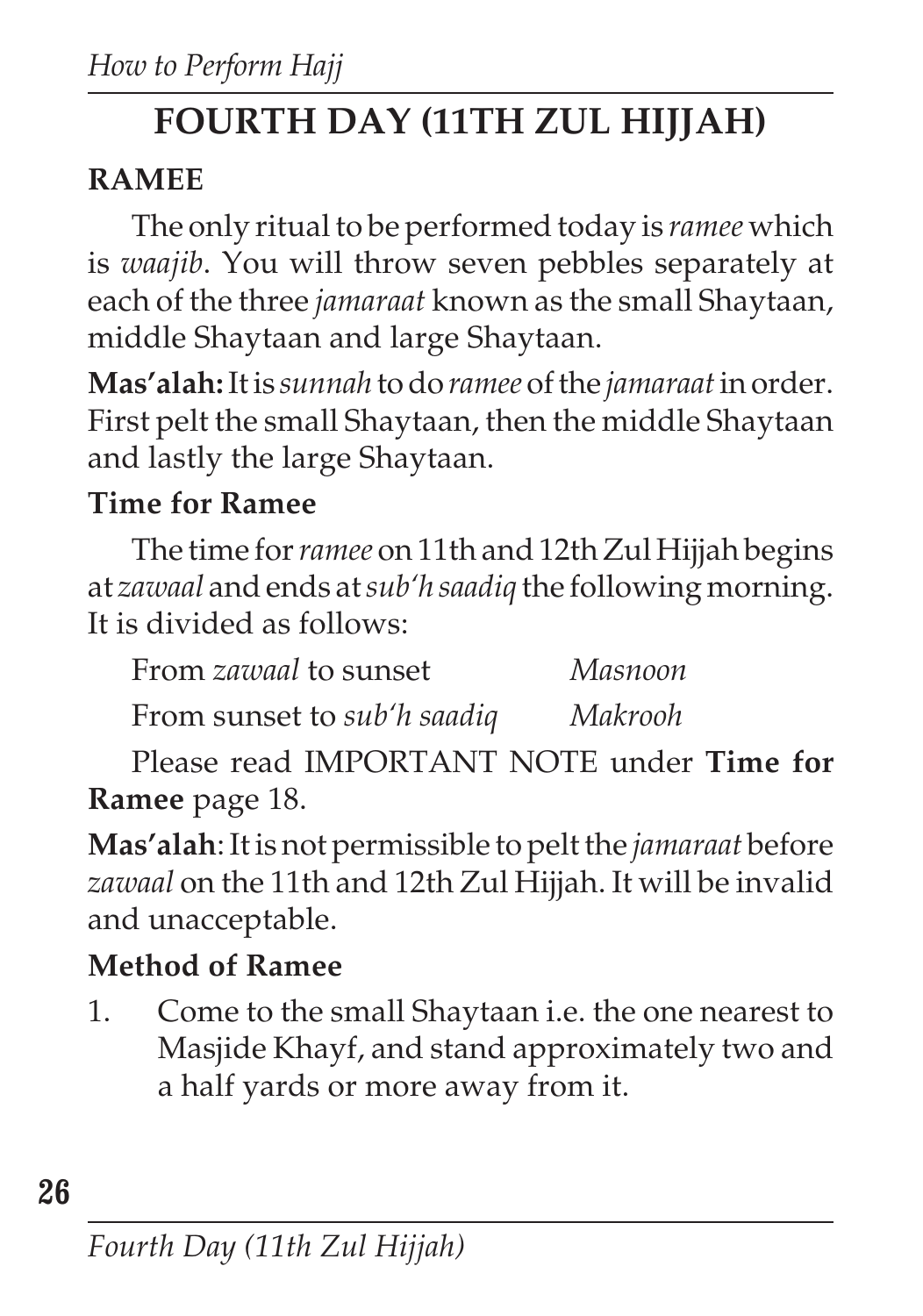# **FOURTH DAY (11TH ZUL HIJJAH)**

# **RAMEE**

The only ritual to be performed today is *ramee* which is *waajib*. You will throw seven pebbles separately at each of the three *jamaraat* known as the small Shaytaan, middle Shaytaan and large Shaytaan.

**Mas'alah:** It is *sunnah* to do *ramee* of the *jamaraat*in order. First pelt the small Shaytaan, then the middle Shaytaan and lastly the large Shaytaan.

## **Time for Ramee**

The time for *ramee* on 11th and 12th Zul Hijjah begins at *zawaal* and ends at *sub'h saadiq* the following morning. It is divided as follows:

From sunset to *sub'h saadiq Makrooh*

Please read IMPORTANT NOTE under **Time for Ramee** page 18.

**Mas'alah**: It is not permissible to pelt the *jamaraat* before *zawaal* on the 11th and 12th Zul Hijjah. It will be invalid and unacceptable.

## **Method of Ramee**

1. Come to the small Shaytaan i.e. the one nearest to Masjide Khayf, and stand approximately two and a half yards or more away from it.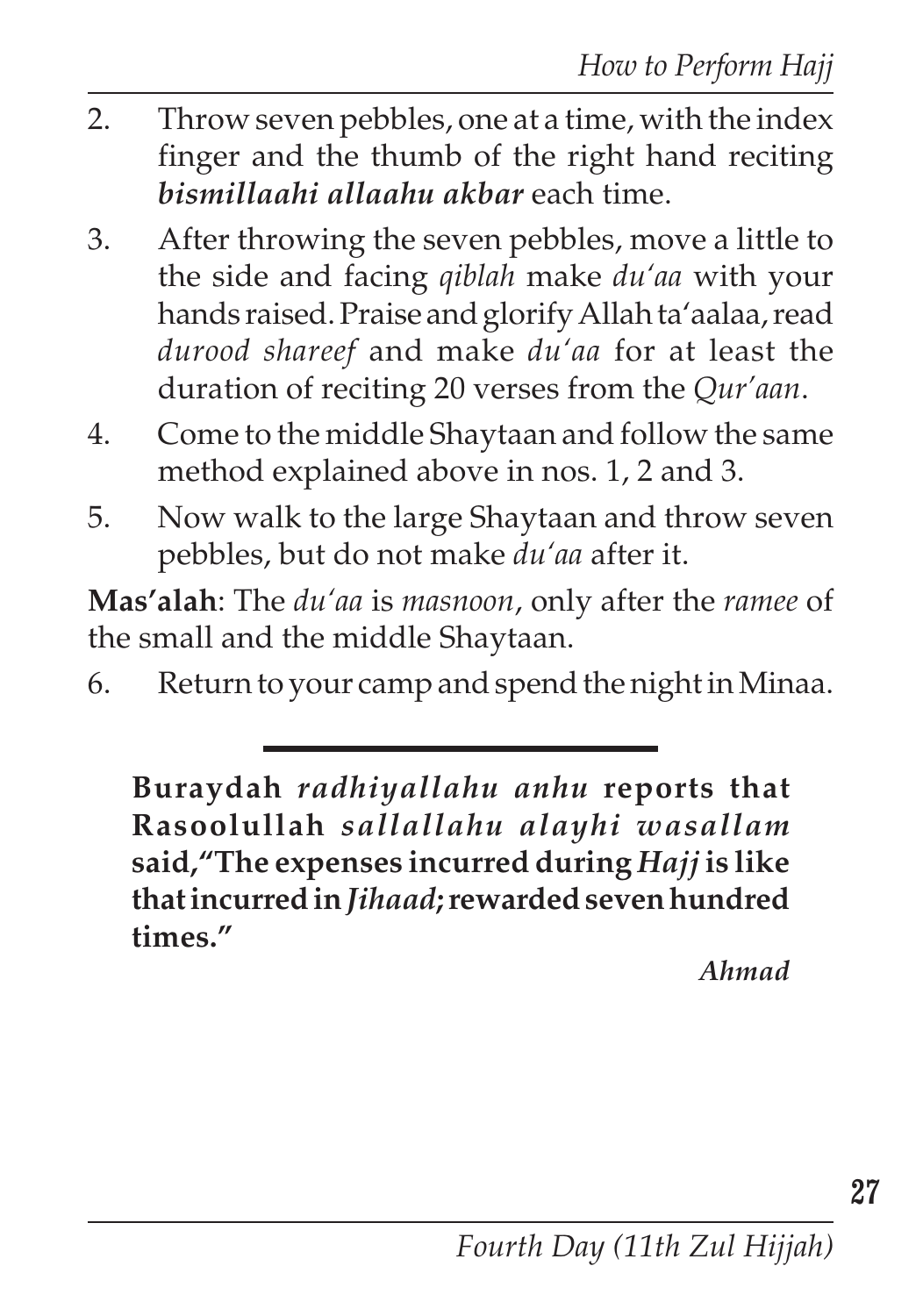- 2. Throw seven pebbles, one at a time, with the index finger and the thumb of the right hand reciting *bismillaahi allaahu akbar* each time.
- 3. After throwing the seven pebbles, move a little to the side and facing *qiblah* make *du'aa* with your hands raised. Praise and glorify Allah ta'aalaa, read *durood shareef* and make *du'aa* for at least the duration of reciting 20 verses from the *Qur'aan*.
- 4. Come to the middle Shaytaan and follow the same method explained above in nos. 1, 2 and 3.
- 5. Now walk to the large Shaytaan and throw seven pebbles, but do not make *du'aa* after it.

**Mas'alah**: The *du'aa* is *masnoon*, only after the *ramee* of the small and the middle Shaytaan.

6. Return to your camp and spend the night in Minaa.

**Buraydah** *radhiyallahu anhu* **reports that Rasoolullah** *sallallahu alayhi wasallam* **said,"The expenses incurred during** *Hajj* **is like that incurred in** *Jihaad***; rewarded seven hundred times."**

*Ahmad*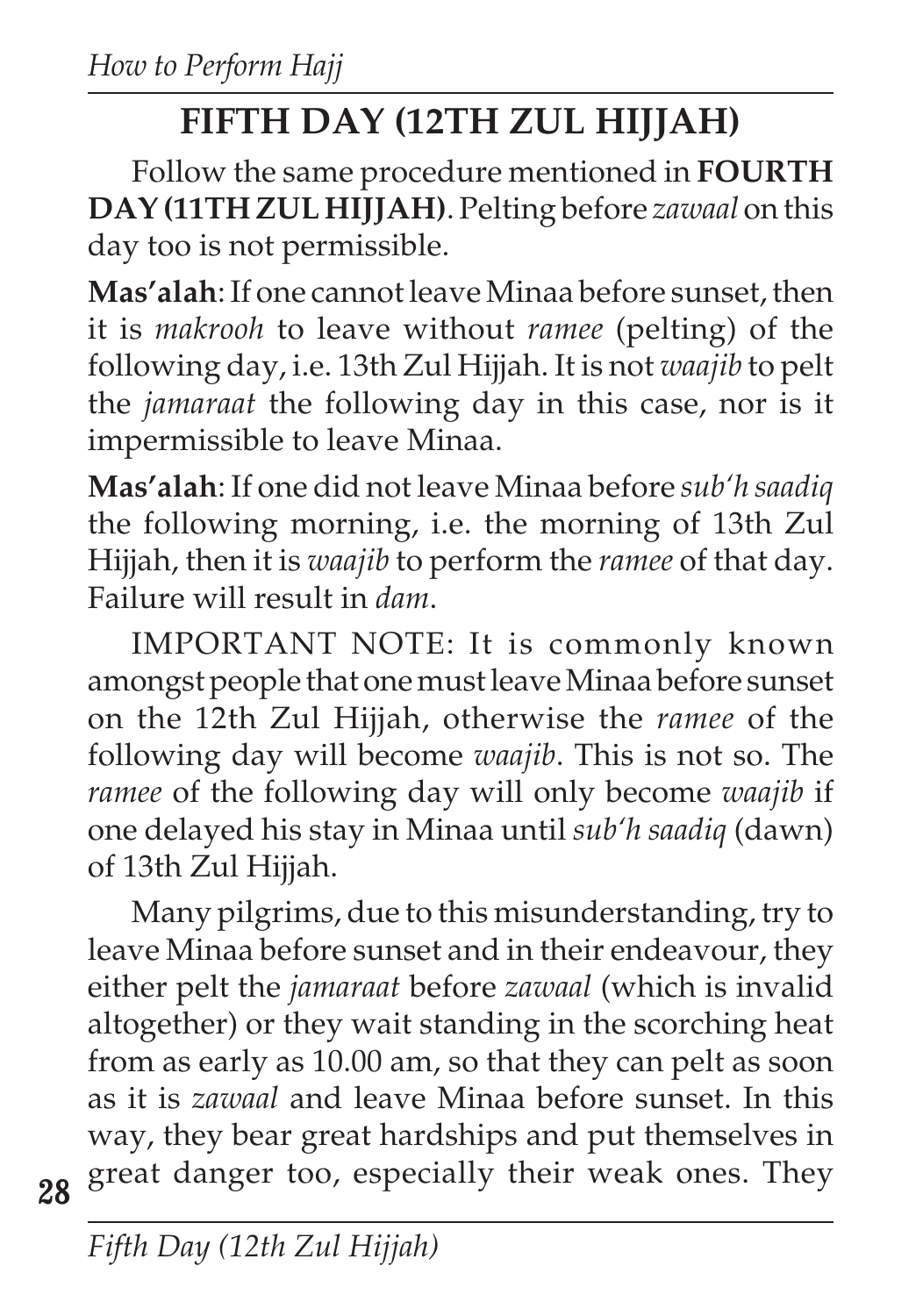# **FIFTH DAY (12TH ZUL HIJJAH)**

Follow the same procedure mentioned in **FOURTH DAY (11TH ZUL HIJJAH)**. Pelting before *zawaal* on this day too is not permissible.

**Mas'alah**: If one cannot leave Minaa before sunset, then it is *makrooh* to leave without *ramee* (pelting) of the following day, i.e. 13th Zul Hijjah. It is not *waajib* to pelt the *jamaraat* the following day in this case, nor is it impermissible to leave Minaa.

**Mas'alah**: If one did not leave Minaa before *sub'h saadiq* the following morning, i.e. the morning of 13th Zul Hijjah, then it is *waajib* to perform the *ramee* of that day. Failure will result in *dam*.

IMPORTANT NOTE: It is commonly known amongst people that one must leave Minaa before sunset on the 12th Zul Hijjah, otherwise the *ramee* of the following day will become *waajib*. This is not so. The *ramee* of the following day will only become *waajib* if one delayed his stay in Minaa until *sub'h saadiq* (dawn) of 13th Zul Hijjah.

Many pilgrims, due to this misunderstanding, try to leave Minaa before sunset and in their endeavour, they either pelt the *jamaraat* before *zawaal* (which is invalid altogether) or they wait standing in the scorching heat from as early as 10.00 am, so that they can pelt as soon as it is *zawaal* and leave Minaa before sunset. In this way, they bear great hardships and put themselves in great danger too, especially their weak ones. They

**28**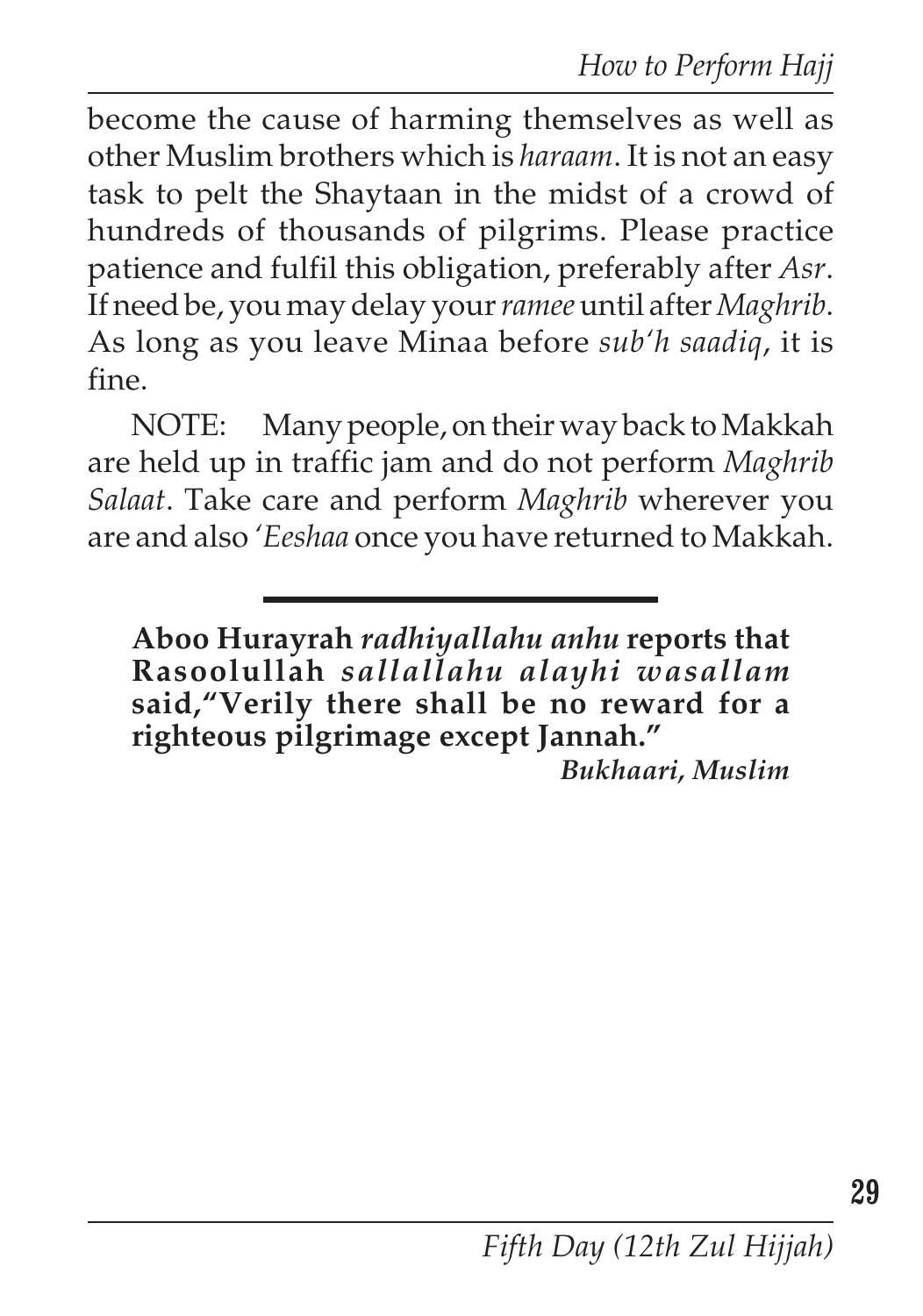become the cause of harming themselves as well as other Muslim brothers which is *haraam*. It is not an easy task to pelt the Shaytaan in the midst of a crowd of hundreds of thousands of pilgrims. Please practice patience and fulfil this obligation, preferably after *Asr*. If need be, you may delay your *ramee*until after *Maghrib*. As long as you leave Minaa before *sub'h saadiq*, it is fine.

NOTE: Many people, on their way back to Makkah are held up in traffic jam and do not perform *Maghrib Salaat*. Take care and perform *Maghrib* wherever you are and also *'Eeshaa* once you have returned to Makkah.

**Aboo Hurayrah** *radhiyallahu anhu* **reports that Rasoolullah** *sallallahu alayhi wasallam* said,"Verily there shall be no reward for a **righteous pilgrimage except Jannah."**

*Bukhaari, Muslim*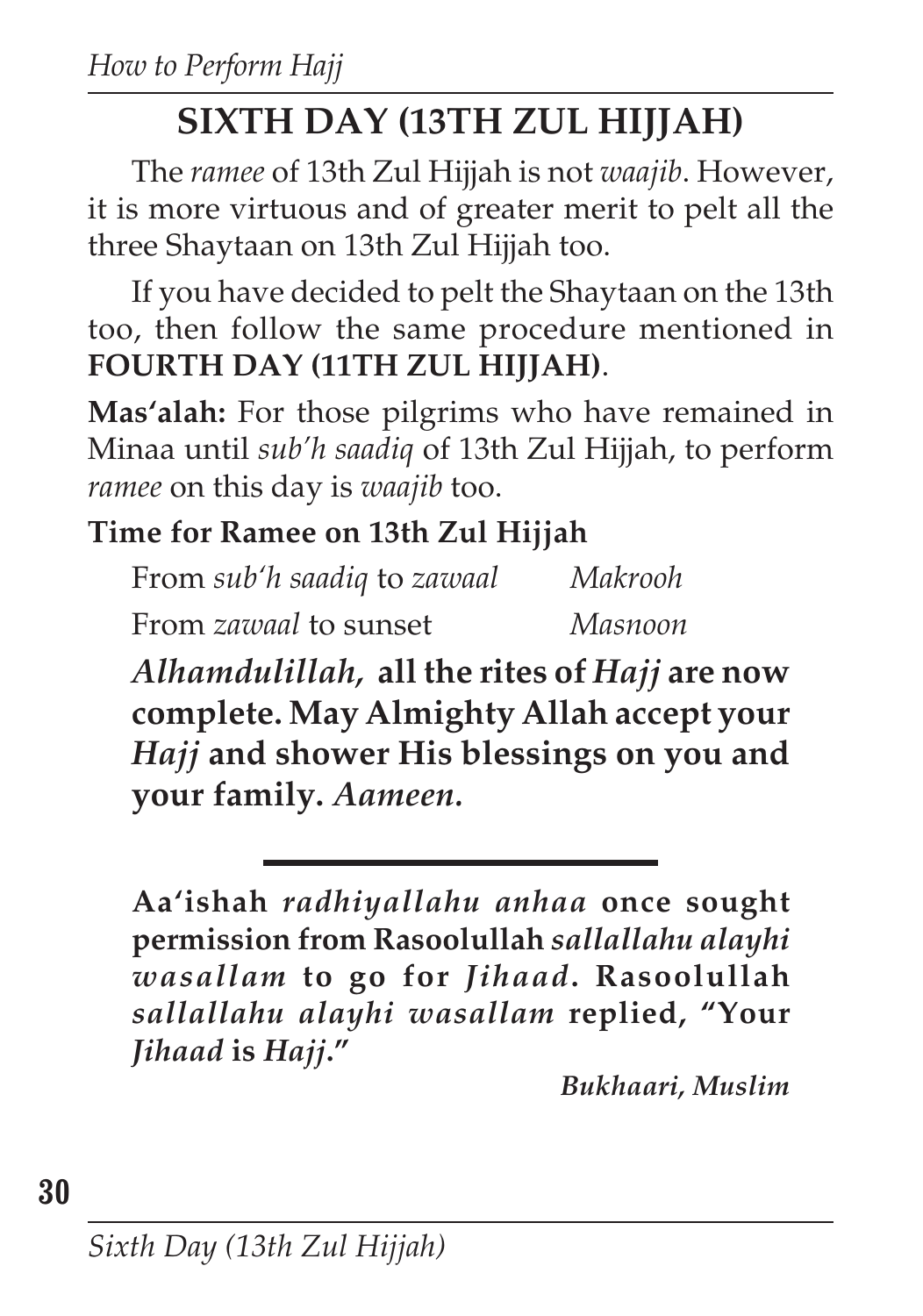# **SIXTH DAY (13TH ZUL HIJJAH)**

The *ramee* of 13th Zul Hijjah is not *waajib*. However, it is more virtuous and of greater merit to pelt all the three Shaytaan on 13th Zul Hijjah too.

If you have decided to pelt the Shaytaan on the 13th too, then follow the same procedure mentioned in **FOURTH DAY (11TH ZUL HIJJAH)**.

**Mas'alah:** For those pilgrims who have remained in Minaa until *sub'h saadiq* of 13th Zul Hijjah, to perform *ramee* on this day is *waajib* too.

## **Time for Ramee on 13th Zul Hijjah**

From *sub'h saadiq* to *zawaal Makrooh* From *zawaal* to sunset *Masnoon*

*Alhamdulillah,* **all the rites of** *Hajj* **are now complete. May Almighty Allah accept your** *Hajj* **and shower His blessings on you and your family.** *Aameen.*

**Aa'ishah** *radhiyallahu anhaa* **once sought permission from Rasoolullah** *sallallahu alayhi wasallam* **to go for** *Jihaad***. Rasoolullah** *sallallahu alayhi wasallam* **replied, "Your** *Jihaad* **is** *Hajj***."**

*Bukhaari, Muslim*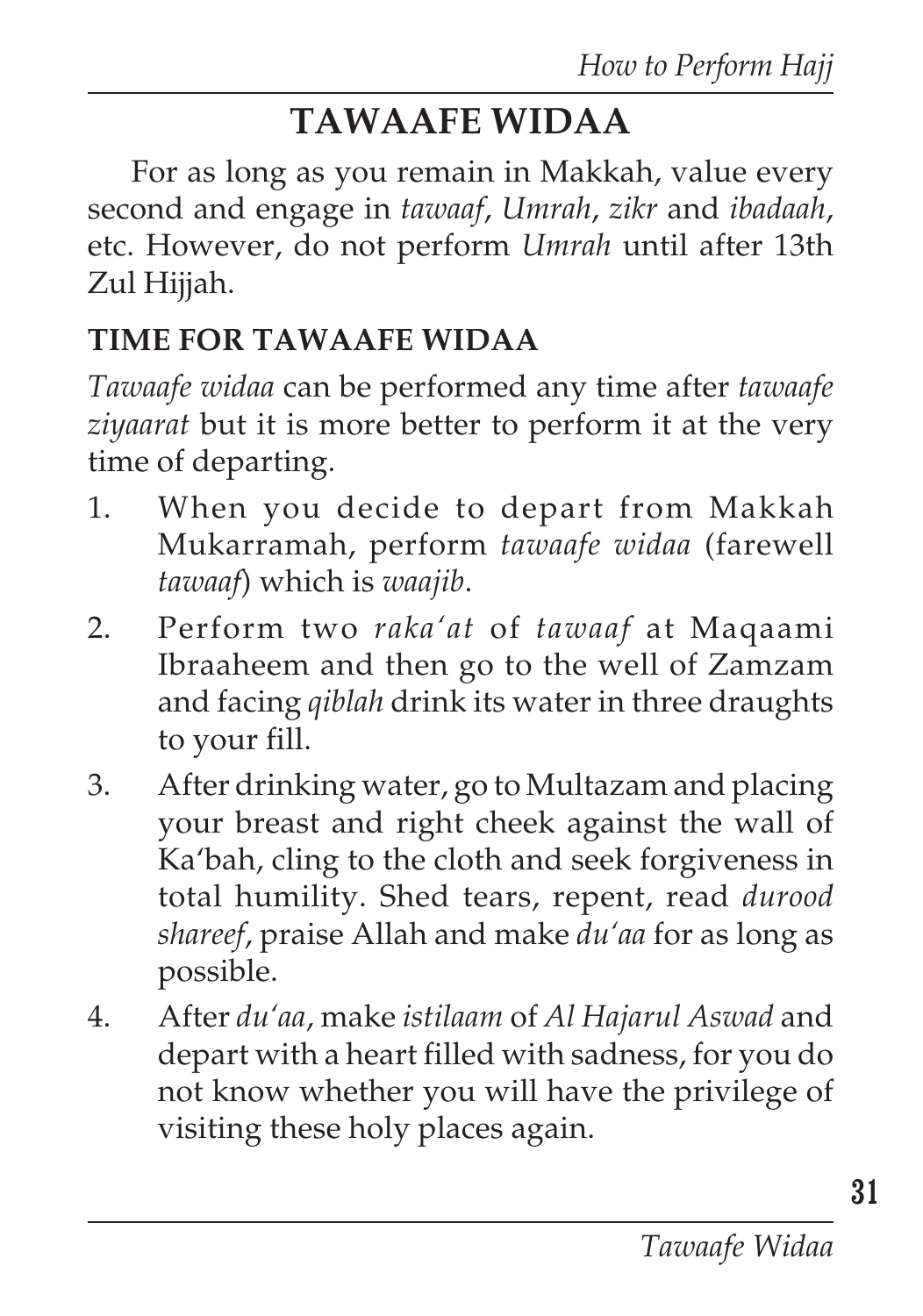# **TAWAAFE WIDAA**

For as long as you remain in Makkah, value every second and engage in *tawaaf*, *Umrah*, *zikr* and *ibadaah*, etc. However, do not perform *Umrah* until after 13th Zul Hijjah.

### **TIME FOR TAWAAFE WIDAA**

*Tawaafe widaa* can be performed any time after *tawaafe ziyaarat* but it is more better to perform it at the very time of departing.

- 1. When you decide to depart from Makkah Mukarramah, perform *tawaafe widaa* (farewell *tawaaf*) which is *waajib*.
- 2. Perform two *raka'at* of *tawaaf* at Maqaami Ibraaheem and then go to the well of Zamzam and facing *qiblah* drink its water in three draughts to your fill.
- 3. After drinking water, go to Multazam and placing your breast and right cheek against the wall of Ka'bah, cling to the cloth and seek forgiveness in total humility. Shed tears, repent, read *durood shareef*, praise Allah and make *du'aa* for as long as possible.
- 4. After *du'aa*, make *istilaam* of *Al Hajarul Aswad* and depart with a heart filled with sadness, for you do not know whether you will have the privilege of visiting these holy places again.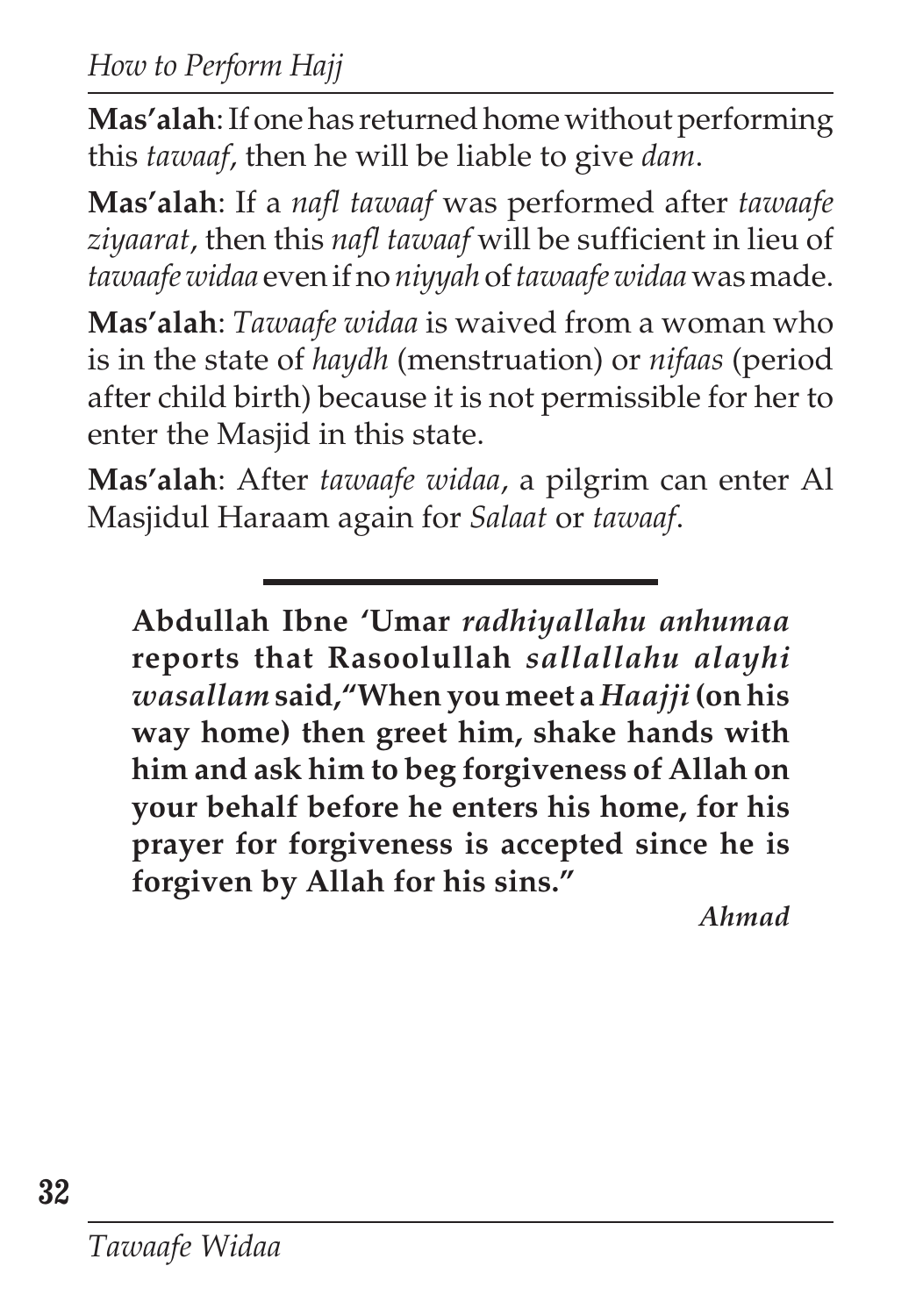*How to Perform Hajj*

**Mas'alah**: If one has returned home without performing this *tawaaf*, then he will be liable to give *dam*.

**Mas'alah**: If a *nafl tawaaf* was performed after *tawaafe ziyaarat*, then this *nafl tawaaf* will be sufficient in lieu of *tawaafe widaa* even if no *niyyah* of *tawaafe widaa* was made.

**Mas'alah**: *Tawaafe widaa* is waived from a woman who is in the state of *haydh* (menstruation) or *nifaas* (period after child birth) because it is not permissible for her to enter the Masjid in this state.

**Mas'alah**: After *tawaafe widaa*, a pilgrim can enter Al Masjidul Haraam again for *Salaat* or *tawaaf*.

**Abdullah Ibne 'Umar** *radhiyallahu anhumaa* **reports that Rasoolullah** *sallallahu alayhi wasallam* **said,"When you meet a** *Haajji* **(on his way home) then greet him, shake hands with him and ask him to beg forgiveness of Allah on your behalf before he enters his home, for his prayer for forgiveness is accepted since he is forgiven by Allah for his sins."**

*Ahmad*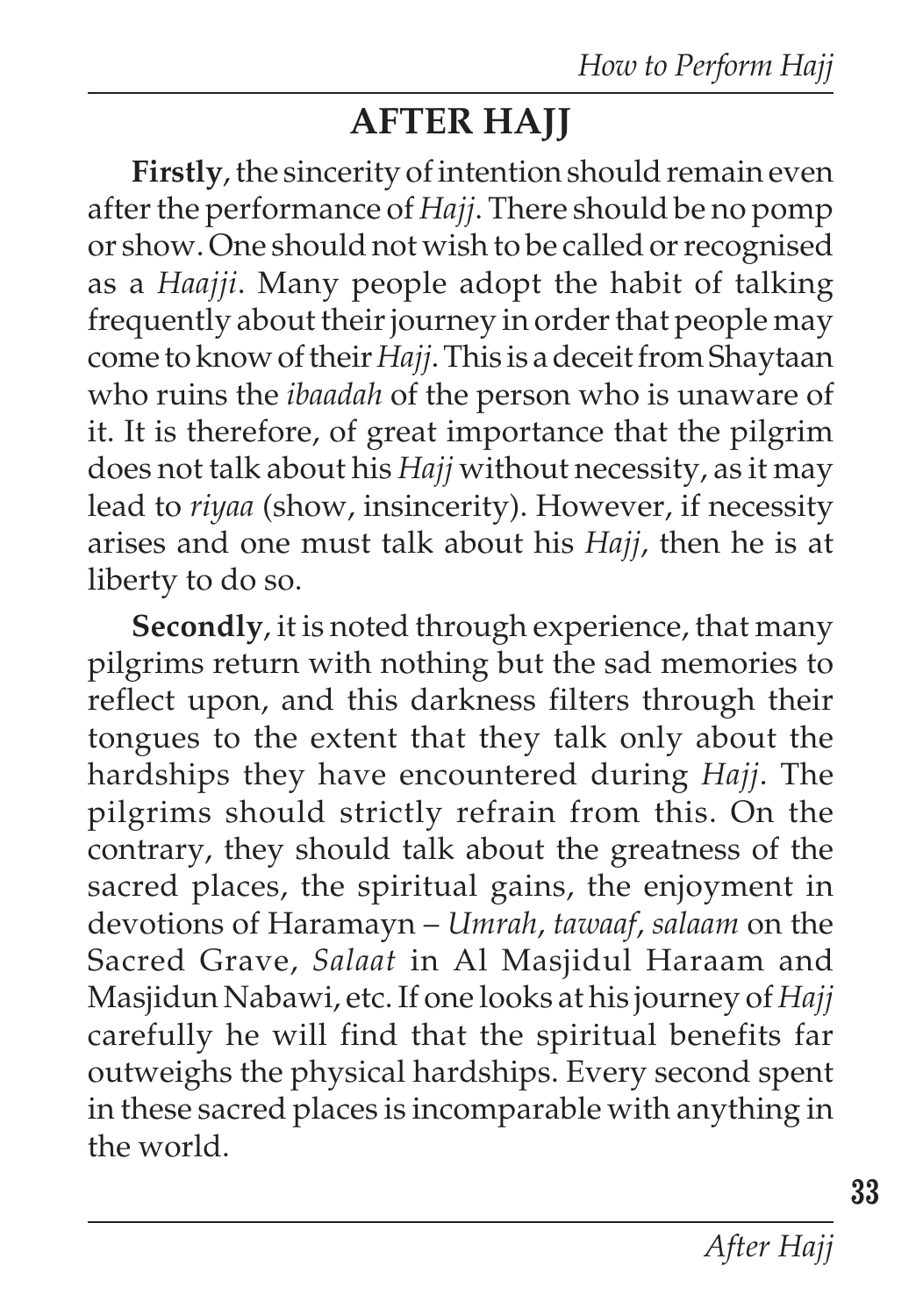# **AFTER HAJJ**

**Firstly**, the sincerity of intention should remain even after the performance of *Hajj*. There should be no pomp or show. One should not wish to be called or recognised as a *Haajji*. Many people adopt the habit of talking frequently about their journey in order that people may come to know of their *Hajj*. This is a deceit from Shaytaan who ruins the *ibaadah* of the person who is unaware of it. It is therefore, of great importance that the pilgrim does not talk about his *Hajj* without necessity, as it may lead to *riyaa* (show, insincerity). However, if necessity arises and one must talk about his *Hajj*, then he is at liberty to do so.

**Secondly**, it is noted through experience, that many pilgrims return with nothing but the sad memories to reflect upon, and this darkness filters through their tongues to the extent that they talk only about the hardships they have encountered during *Hajj*. The pilgrims should strictly refrain from this. On the contrary, they should talk about the greatness of the sacred places, the spiritual gains, the enjoyment in devotions of Haramayn – *Umrah*, *tawaaf*, *salaam* on the Sacred Grave, *Salaat* in Al Masjidul Haraam and Masjidun Nabawi, etc. If one looks at his journey of *Hajj* carefully he will find that the spiritual benefits far outweighs the physical hardships. Every second spent in these sacred places is incomparable with anything in the world.